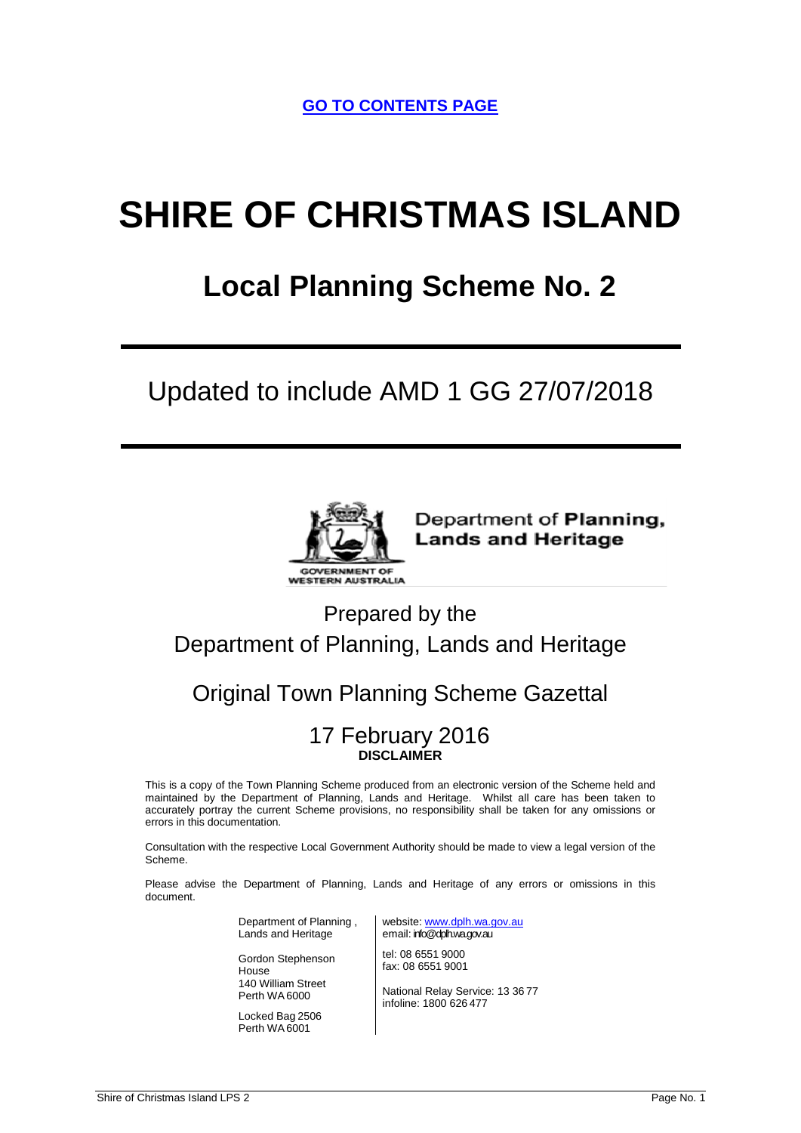**GO TO CONTENTS PAGE**

# **SHIRE OF CHRISTMAS ISLAND**

## **Local Planning Scheme No. 2**

## Updated to include AMD 1 GG 27/07/2018



Department of Planning, **Lands and Heritage** 

## Prepared by the Department of Planning, Lands and Heritage

## Original Town Planning Scheme Gazettal

## 17 February 2016 **DISCLAIMER**

This is a copy of the Town Planning Scheme produced from an electronic version of the Scheme held and maintained by the Department of Planning, Lands and Heritage. Whilst all care has been taken to accurately portray the current Scheme provisions, no responsibility shall be taken for any omissions or errors in this documentation.

Consultation with the respective Local Government Authority should be made to view a legal version of the Scheme.

Please advise the Department of Planning, Lands and Heritage of any errors or omissions in this document.

> Department of Planning , Lands and Heritage

Gordon Stephenson House 140 William Street Perth WA 6000

Locked Bag 2506 Perth WA 6001

website: [www.dplh.wa.gov.au](http://www.dplh.wa.gov.au/) email: info@dplh.wa.gov.au

tel: 08 6551 9000 fax: 08 6551 9001

National Relay Service: 13 36 77 infoline: 1800 626 477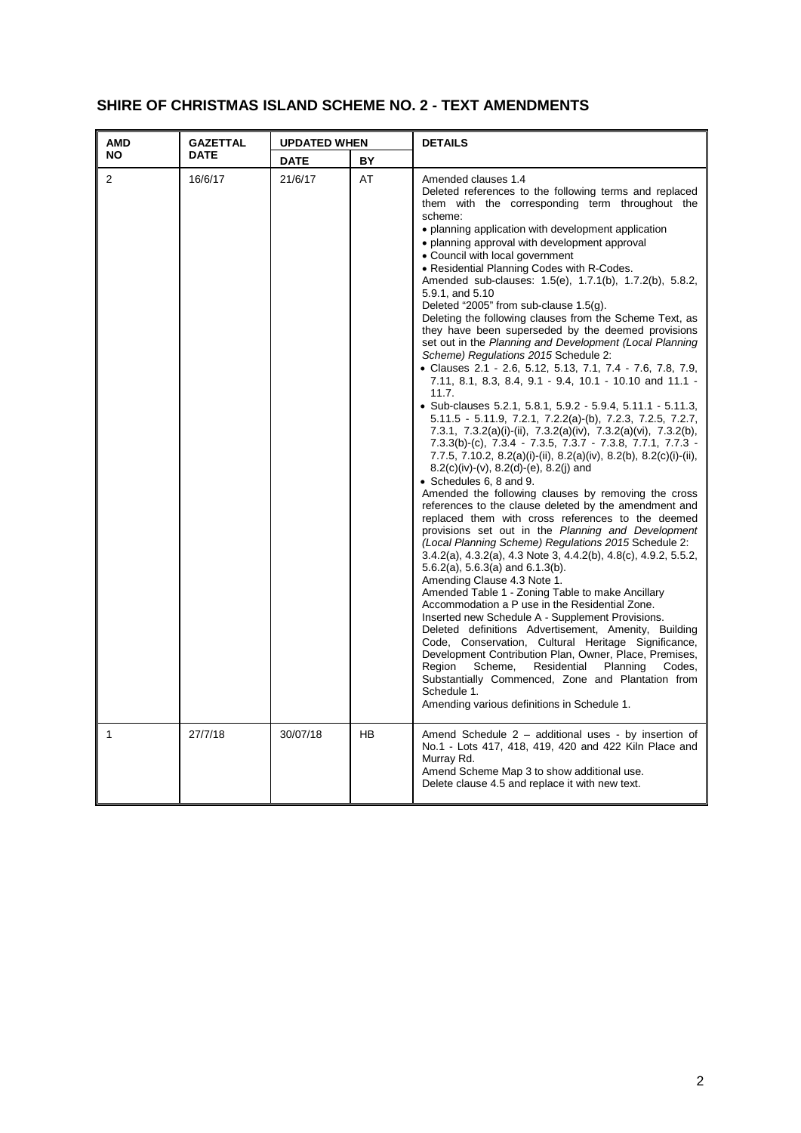## **SHIRE OF CHRISTMAS ISLAND SCHEME NO. 2 - TEXT AMENDMENTS**

| <b>AMD</b>     | <b>GAZETTAL</b><br><b>UPDATED WHEN</b> |             |    | <b>DETAILS</b>                                                                                                                                                                                                                                                                                                                                                                                                                                                                                                                                                                                                                                                                                                                                                                                                                                                                                                                                                                                                                                                                                                                                                                                                                                                                                                                                                                                                                                                                                                                                                                                                                                                                                                                                                                                                                                                                                                                                                                                                                                                                                                                                                                   |  |
|----------------|----------------------------------------|-------------|----|----------------------------------------------------------------------------------------------------------------------------------------------------------------------------------------------------------------------------------------------------------------------------------------------------------------------------------------------------------------------------------------------------------------------------------------------------------------------------------------------------------------------------------------------------------------------------------------------------------------------------------------------------------------------------------------------------------------------------------------------------------------------------------------------------------------------------------------------------------------------------------------------------------------------------------------------------------------------------------------------------------------------------------------------------------------------------------------------------------------------------------------------------------------------------------------------------------------------------------------------------------------------------------------------------------------------------------------------------------------------------------------------------------------------------------------------------------------------------------------------------------------------------------------------------------------------------------------------------------------------------------------------------------------------------------------------------------------------------------------------------------------------------------------------------------------------------------------------------------------------------------------------------------------------------------------------------------------------------------------------------------------------------------------------------------------------------------------------------------------------------------------------------------------------------------|--|
| ΝO             | <b>DATE</b>                            | <b>DATE</b> | BY |                                                                                                                                                                                                                                                                                                                                                                                                                                                                                                                                                                                                                                                                                                                                                                                                                                                                                                                                                                                                                                                                                                                                                                                                                                                                                                                                                                                                                                                                                                                                                                                                                                                                                                                                                                                                                                                                                                                                                                                                                                                                                                                                                                                  |  |
| $\overline{2}$ | 16/6/17                                | 21/6/17     | AT | Amended clauses 1.4<br>Deleted references to the following terms and replaced<br>them with the corresponding term throughout the<br>scheme:<br>• planning application with development application<br>• planning approval with development approval<br>• Council with local government<br>• Residential Planning Codes with R-Codes.<br>Amended sub-clauses: 1.5(e), 1.7.1(b), 1.7.2(b), 5.8.2,<br>5.9.1, and 5.10<br>Deleted "2005" from sub-clause $1.5(q)$ .<br>Deleting the following clauses from the Scheme Text, as<br>they have been superseded by the deemed provisions<br>set out in the Planning and Development (Local Planning<br>Scheme) Regulations 2015 Schedule 2:<br>• Clauses 2.1 - 2.6, 5.12, 5.13, 7.1, 7.4 - 7.6, 7.8, 7.9,<br>7.11, 8.1, 8.3, 8.4, 9.1 - 9.4, 10.1 - 10.10 and 11.1 -<br>11.7.<br>• Sub-clauses 5.2.1, 5.8.1, 5.9.2 - 5.9.4, 5.11.1 - 5.11.3,<br>5.11.5 - 5.11.9, 7.2.1, 7.2.2(a)-(b), 7.2.3, 7.2.5, 7.2.7,<br>7.3.1, 7.3.2(a)(i)-(ii), 7.3.2(a)(iv), 7.3.2(a)(vi), 7.3.2(b),<br>7.3.3(b)-(c), 7.3.4 - 7.3.5, 7.3.7 - 7.3.8, 7.7.1, 7.7.3 -<br>7.7.5, 7.10.2, 8.2(a)(i)-(ii), 8.2(a)(iv), 8.2(b), 8.2(c)(i)-(ii),<br>$8.2(c)(iv)-(v), 8.2(d)-(e), 8.2(j)$ and<br>• Schedules 6, 8 and 9.<br>Amended the following clauses by removing the cross<br>references to the clause deleted by the amendment and<br>replaced them with cross references to the deemed<br>provisions set out in the Planning and Development<br>(Local Planning Scheme) Regulations 2015 Schedule 2:<br>3.4.2(a), 4.3.2(a), 4.3 Note 3, 4.4.2(b), 4.8(c), 4.9.2, 5.5.2,<br>$5.6.2(a)$ , $5.6.3(a)$ and $6.1.3(b)$ .<br>Amending Clause 4.3 Note 1.<br>Amended Table 1 - Zoning Table to make Ancillary<br>Accommodation a P use in the Residential Zone.<br>Inserted new Schedule A - Supplement Provisions.<br>Deleted definitions Advertisement, Amenity, Building<br>Code, Conservation, Cultural Heritage Significance,<br>Development Contribution Plan, Owner, Place, Premises,<br>Region<br>Scheme,<br>Residential<br>Planning<br>Codes.<br>Substantially Commenced, Zone and Plantation from<br>Schedule 1.<br>Amending various definitions in Schedule 1. |  |
| 1              | 27/7/18                                | 30/07/18    | HB | Amend Schedule 2 - additional uses - by insertion of<br>No.1 - Lots 417, 418, 419, 420 and 422 Kiln Place and<br>Murray Rd.<br>Amend Scheme Map 3 to show additional use.<br>Delete clause 4.5 and replace it with new text.                                                                                                                                                                                                                                                                                                                                                                                                                                                                                                                                                                                                                                                                                                                                                                                                                                                                                                                                                                                                                                                                                                                                                                                                                                                                                                                                                                                                                                                                                                                                                                                                                                                                                                                                                                                                                                                                                                                                                     |  |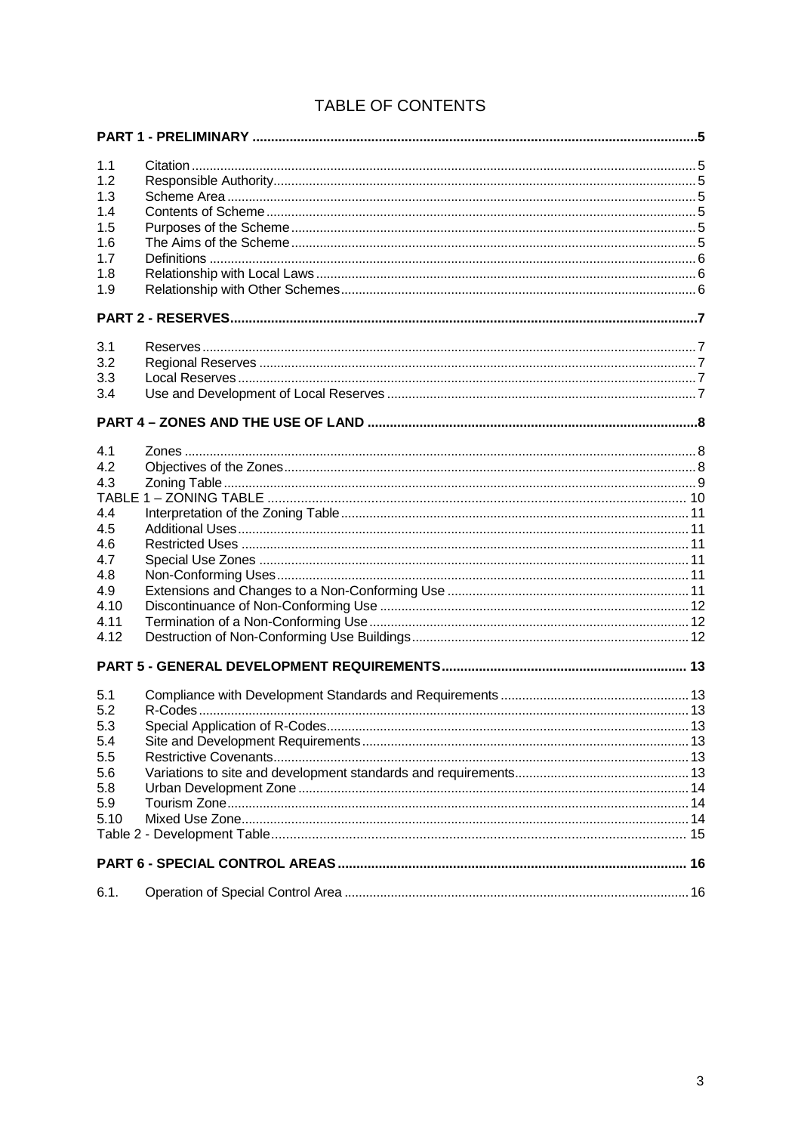## TABLE OF CONTENTS

| 1.1  |  |
|------|--|
| 1.2  |  |
| 1.3  |  |
| 1.4  |  |
| 1.5  |  |
| 1.6  |  |
| 1.7  |  |
| 1.8  |  |
| 1.9  |  |
|      |  |
| 3.1  |  |
| 3.2  |  |
| 3.3  |  |
| 3.4  |  |
|      |  |
|      |  |
| 4.1  |  |
| 4.2  |  |
| 4.3  |  |
| 4.4  |  |
| 4.5  |  |
| 4.6  |  |
| 4.7  |  |
| 4.8  |  |
| 4.9  |  |
| 4.10 |  |
| 4.11 |  |
| 4.12 |  |
|      |  |
| 5.1  |  |
| 5.2  |  |
| 5.3  |  |
| 5.4  |  |
| 5.5  |  |
| 5.6  |  |
| 5.8  |  |
| 5.9  |  |
| 5.10 |  |
|      |  |
|      |  |
| 6.1. |  |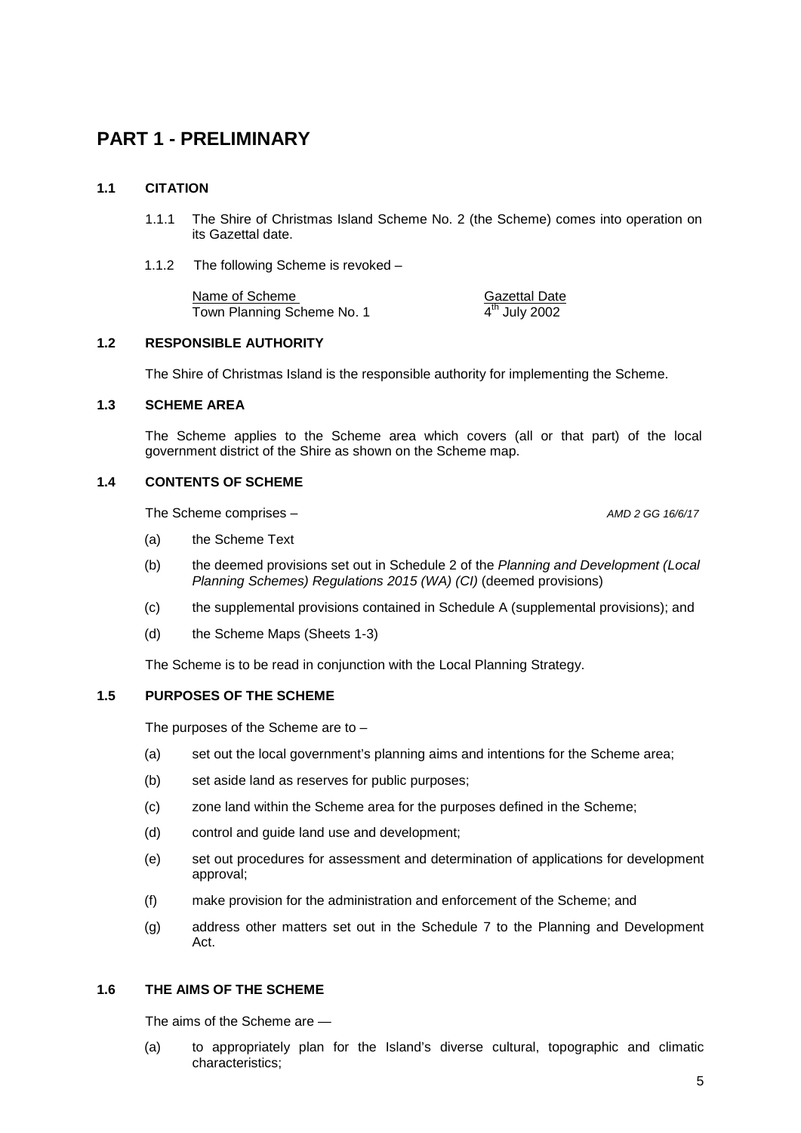## <span id="page-4-0"></span>**PART 1 - PRELIMINARY**

#### <span id="page-4-1"></span>**1.1 CITATION**

- 1.1.1 The Shire of Christmas Island Scheme No. 2 (the Scheme) comes into operation on its Gazettal date.
- 1.1.2 The following Scheme is revoked –

Name of Scheme (Name of Scheme Cazettal Date of Scheme No. 1)<br>Town Planning Scheme No. 1 (Name of A<sup>th</sup> July 2002) Town Planning Scheme No. 1

#### <span id="page-4-2"></span>**1.2 RESPONSIBLE AUTHORITY**

The Shire of Christmas Island is the responsible authority for implementing the Scheme.

#### <span id="page-4-3"></span>**1.3 SCHEME AREA**

The Scheme applies to the Scheme area which covers (all or that part) of the local government district of the Shire as shown on the Scheme map.

#### <span id="page-4-4"></span>**1.4 CONTENTS OF SCHEME**

The Scheme comprises – *AMD 2 GG 16/6/17*

- (a) the Scheme Text
- (b) the deemed provisions set out in Schedule 2 of the *Planning and Development (Local Planning Schemes) Regulations 2015 (WA) (CI)* (deemed provisions)
- (c) the supplemental provisions contained in Schedule A (supplemental provisions); and
- (d) the Scheme Maps (Sheets 1-3)

The Scheme is to be read in conjunction with the Local Planning Strategy.

#### <span id="page-4-5"></span>**1.5 PURPOSES OF THE SCHEME**

The purposes of the Scheme are to –

- (a) set out the local government's planning aims and intentions for the Scheme area;
- (b) set aside land as reserves for public purposes;
- (c) zone land within the Scheme area for the purposes defined in the Scheme;
- (d) control and guide land use and development;
- (e) set out procedures for assessment and determination of applications for development approval;
- (f) make provision for the administration and enforcement of the Scheme; and
- (g) address other matters set out in the Schedule 7 to the Planning and Development Act.

#### <span id="page-4-6"></span>**1.6 THE AIMS OF THE SCHEME**

The aims of the Scheme are —

(a) to appropriately plan for the Island's diverse cultural, topographic and climatic characteristics;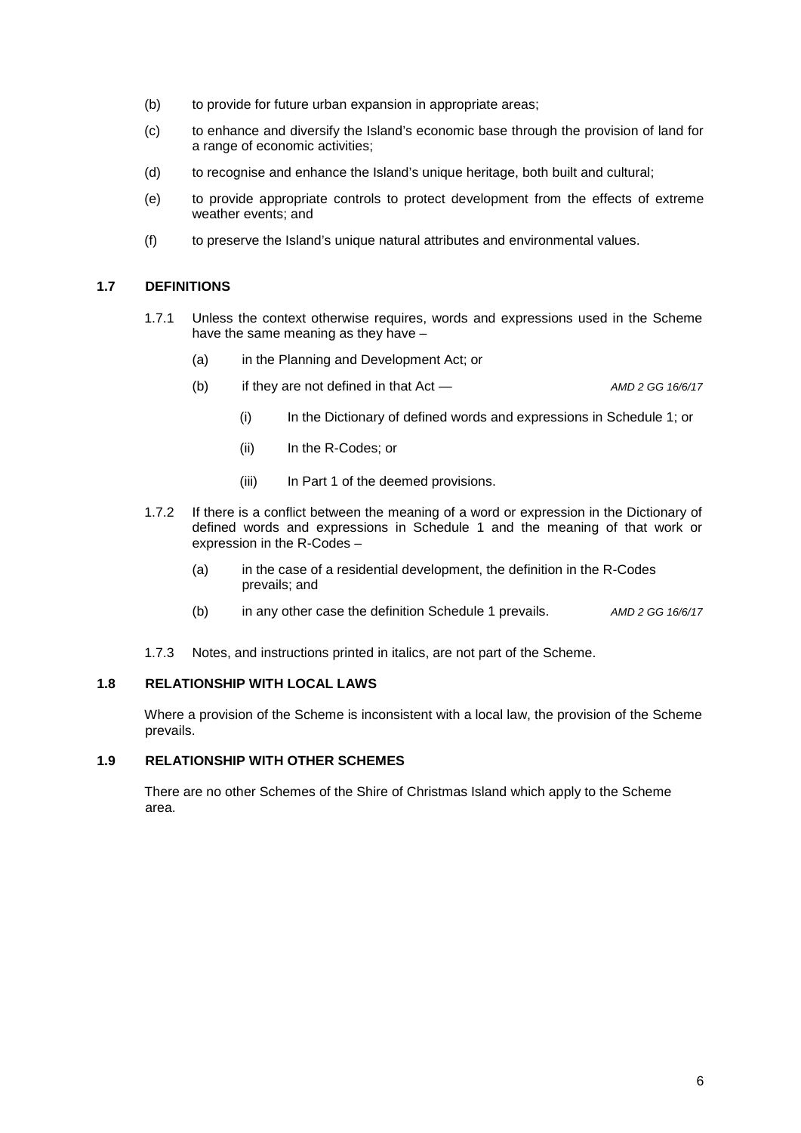- (b) to provide for future urban expansion in appropriate areas;
- (c) to enhance and diversify the Island's economic base through the provision of land for a range of economic activities;
- (d) to recognise and enhance the Island's unique heritage, both built and cultural;
- (e) to provide appropriate controls to protect development from the effects of extreme weather events; and
- (f) to preserve the Island's unique natural attributes and environmental values.

#### <span id="page-5-0"></span>**1.7 DEFINITIONS**

- 1.7.1 Unless the context otherwise requires, words and expressions used in the Scheme have the same meaning as they have -
	- (a) in the Planning and Development Act; or
	- (b) if they are not defined in that Act *AMD 2 GG 16/6/17*
		- (i) In the Dictionary of defined words and expressions in Schedule 1; or
		- (ii) In the R-Codes; or
		- (iii) In Part 1 of the deemed provisions.
- 1.7.2 If there is a conflict between the meaning of a word or expression in the Dictionary of defined words and expressions in Schedule 1 and the meaning of that work or expression in the R-Codes –
	- (a) in the case of a residential development, the definition in the R-Codes prevails; and
	- (b) in any other case the definition Schedule 1 prevails. *AMD 2 GG 16/6/17*
- 1.7.3 Notes, and instructions printed in italics, are not part of the Scheme.

#### <span id="page-5-1"></span>**1.8 RELATIONSHIP WITH LOCAL LAWS**

Where a provision of the Scheme is inconsistent with a local law, the provision of the Scheme prevails.

#### <span id="page-5-2"></span>**1.9 RELATIONSHIP WITH OTHER SCHEMES**

There are no other Schemes of the Shire of Christmas Island which apply to the Scheme area.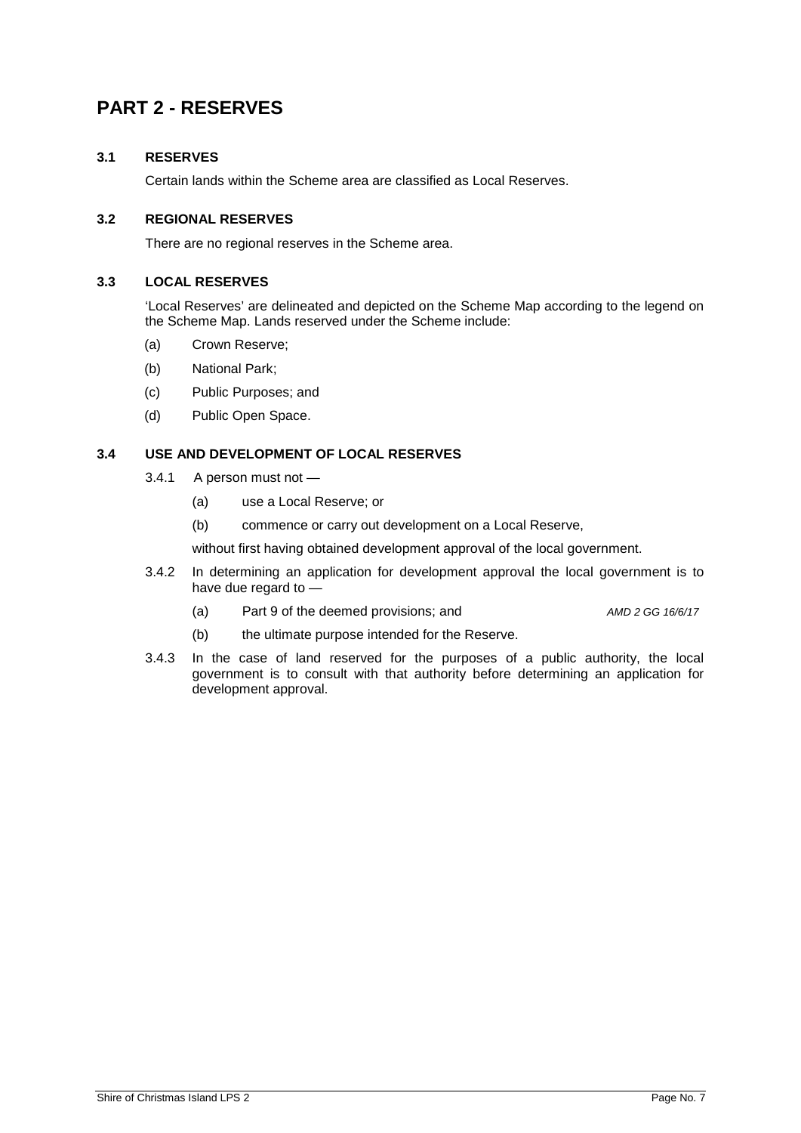## <span id="page-6-0"></span>**PART 2 - RESERVES**

#### <span id="page-6-1"></span>**3.1 RESERVES**

Certain lands within the Scheme area are classified as Local Reserves.

#### <span id="page-6-2"></span>**3.2 REGIONAL RESERVES**

There are no regional reserves in the Scheme area.

#### <span id="page-6-3"></span>**3.3 LOCAL RESERVES**

'Local Reserves' are delineated and depicted on the Scheme Map according to the legend on the Scheme Map. Lands reserved under the Scheme include:

- (a) Crown Reserve;
- (b) National Park;
- (c) Public Purposes; and
- (d) Public Open Space.

#### <span id="page-6-4"></span>**3.4 USE AND DEVELOPMENT OF LOCAL RESERVES**

- 3.4.1 A person must not
	- (a) use a Local Reserve; or
	- (b) commence or carry out development on a Local Reserve,

without first having obtained development approval of the local government.

- 3.4.2 In determining an application for development approval the local government is to have due regard to —
	- (a) Part 9 of the deemed provisions; and *AMD 2 GG 16/6/17*

- (b) the ultimate purpose intended for the Reserve.
- 3.4.3 In the case of land reserved for the purposes of a public authority, the local government is to consult with that authority before determining an application for development approval.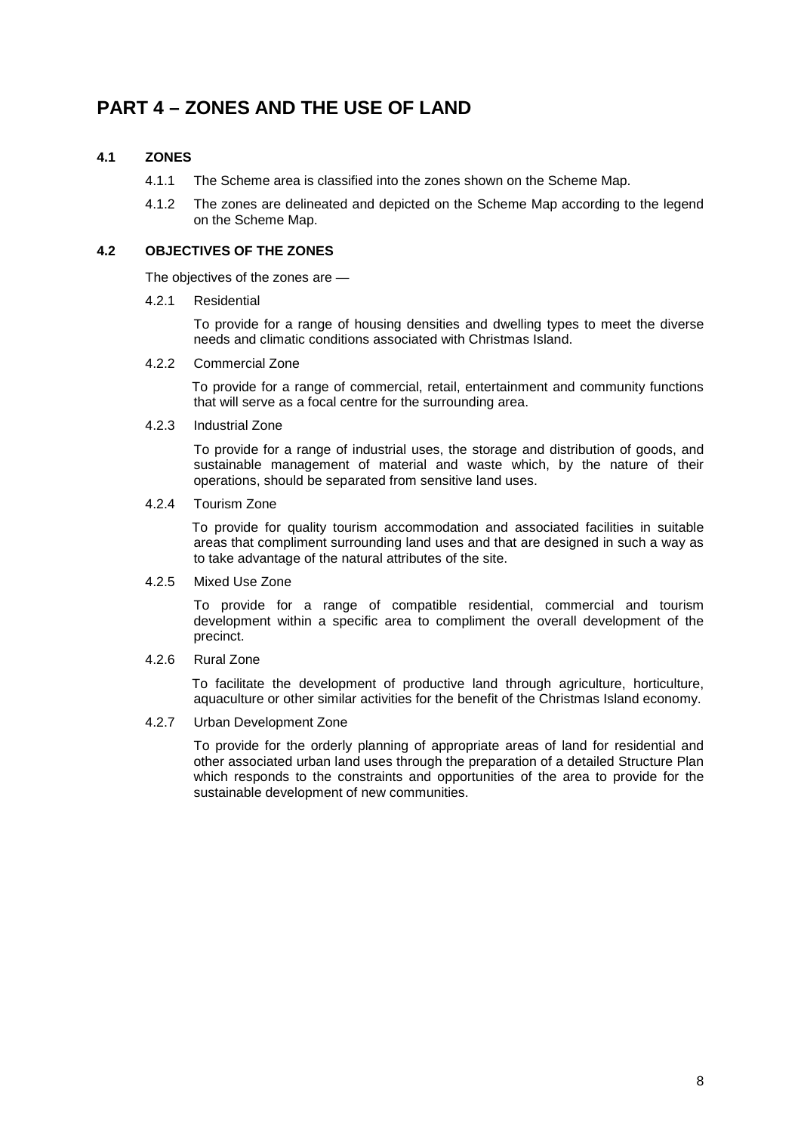## <span id="page-7-0"></span>**PART 4 – ZONES AND THE USE OF LAND**

#### <span id="page-7-1"></span>**4.1 ZONES**

- 4.1.1 The Scheme area is classified into the zones shown on the Scheme Map.
- 4.1.2 The zones are delineated and depicted on the Scheme Map according to the legend on the Scheme Map.

#### <span id="page-7-2"></span>**4.2 OBJECTIVES OF THE ZONES**

The objectives of the zones are —

4.2.1 Residential

To provide for a range of housing densities and dwelling types to meet the diverse needs and climatic conditions associated with Christmas Island.

#### 4.2.2 Commercial Zone

To provide for a range of commercial, retail, entertainment and community functions that will serve as a focal centre for the surrounding area.

#### 4.2.3 Industrial Zone

To provide for a range of industrial uses, the storage and distribution of goods, and sustainable management of material and waste which, by the nature of their operations, should be separated from sensitive land uses.

#### 4.2.4 Tourism Zone

To provide for quality tourism accommodation and associated facilities in suitable areas that compliment surrounding land uses and that are designed in such a way as to take advantage of the natural attributes of the site.

#### 4.2.5 Mixed Use Zone

To provide for a range of compatible residential, commercial and tourism development within a specific area to compliment the overall development of the precinct.

4.2.6 Rural Zone

To facilitate the development of productive land through agriculture, horticulture, aquaculture or other similar activities for the benefit of the Christmas Island economy.

4.2.7 Urban Development Zone

To provide for the orderly planning of appropriate areas of land for residential and other associated urban land uses through the preparation of a detailed Structure Plan which responds to the constraints and opportunities of the area to provide for the sustainable development of new communities.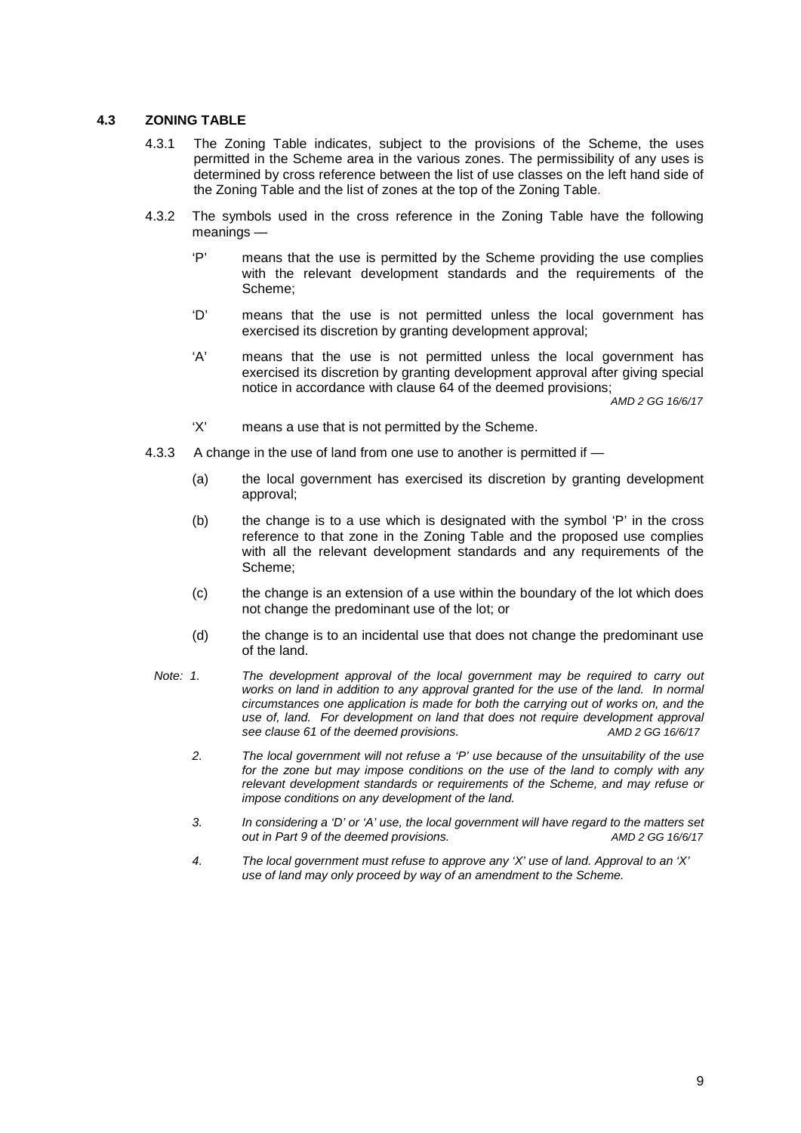#### <span id="page-8-0"></span>**4.3 ZONING TABLE**

- 4.3.1 The Zoning Table indicates, subject to the provisions of the Scheme, the uses permitted in the Scheme area in the various zones. The permissibility of any uses is determined by cross reference between the list of use classes on the left hand side of the Zoning Table and the list of zones at the top of the Zoning Table.
- 4.3.2 The symbols used in the cross reference in the Zoning Table have the following meanings —
	- 'P' means that the use is permitted by the Scheme providing the use complies with the relevant development standards and the requirements of the Scheme;
	- 'D' means that the use is not permitted unless the local government has exercised its discretion by granting development approval;
	- 'A' means that the use is not permitted unless the local government has exercised its discretion by granting development approval after giving special notice in accordance with clause 64 of the deemed provisions; *AMD 2 GG 16/6/17*

- 'X' means a use that is not permitted by the Scheme.
- 4.3.3 A change in the use of land from one use to another is permitted if
	- (a) the local government has exercised its discretion by granting development approval;
	- (b) the change is to a use which is designated with the symbol 'P' in the cross reference to that zone in the Zoning Table and the proposed use complies with all the relevant development standards and any requirements of the Scheme;
	- (c) the change is an extension of a use within the boundary of the lot which does not change the predominant use of the lot; or
	- (d) the change is to an incidental use that does not change the predominant use of the land.
	- *Note: 1. The development approval of the local government may be required to carry out*  works on land in addition to any approval granted for the use of the land. In normal *circumstances one application is made for both the carrying out of works on, and the use of, land. For development on land that does not require development approval*  see clause 61 of the deemed provisions.
		- *2. The local government will not refuse a 'P' use because of the unsuitability of the use*  for the zone but may impose conditions on the use of the land to comply with any *relevant development standards or requirements of the Scheme, and may refuse or impose conditions on any development of the land.*
		- *3. In considering a 'D' or 'A' use, the local government will have regard to the matters set out in Part 9 of the deemed provisions. AMD 2 GG 16/6/17*
		- *4. The local government must refuse to approve any 'X' use of land. Approval to an 'X' use of land may only proceed by way of an amendment to the Scheme.*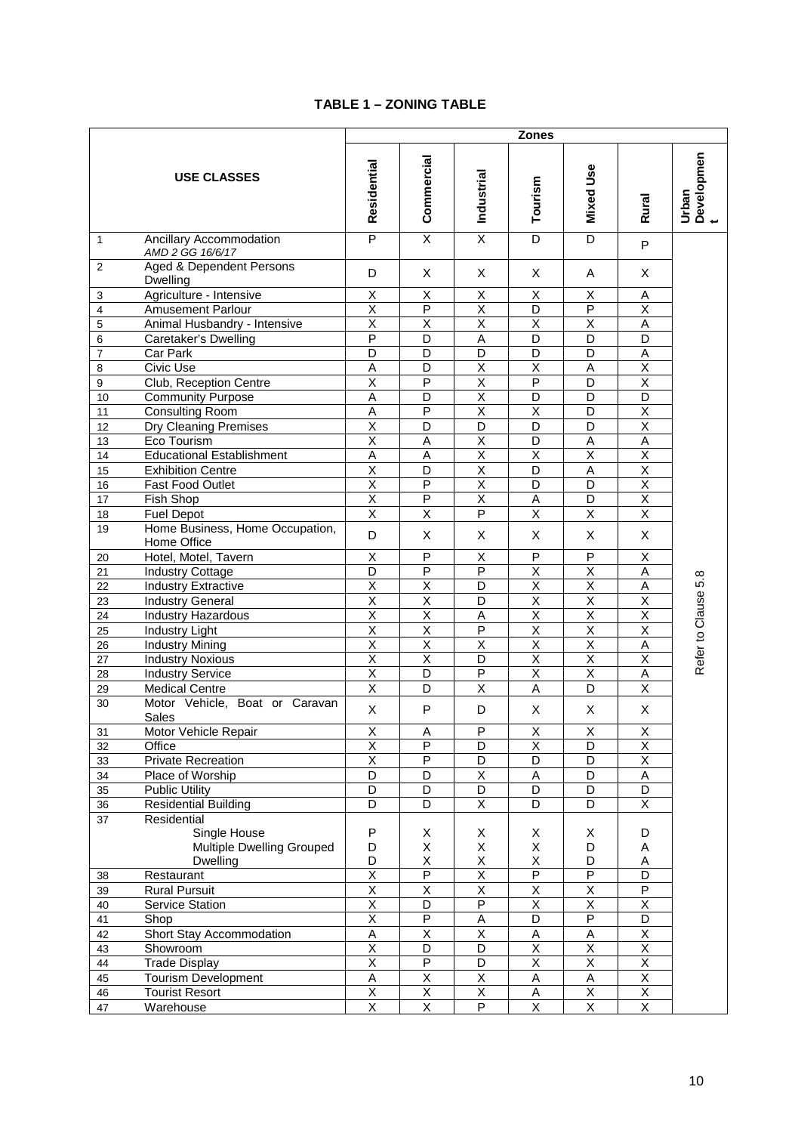#### **TABLE 1 – ZONING TABLE**

<span id="page-9-0"></span>

|                |                                                | <b>Zones</b>            |                         |                         |                         |                         |                         |                          |
|----------------|------------------------------------------------|-------------------------|-------------------------|-------------------------|-------------------------|-------------------------|-------------------------|--------------------------|
|                | <b>USE CLASSES</b>                             | Residential             | Commercial              | <b>Industrial</b>       | Tourism                 | <b>Mixed Use</b>        | Rural                   | Developmen<br>t<br>Urban |
| $\mathbf{1}$   | Ancillary Accommodation<br>AMD 2 GG 16/6/17    | $\overline{P}$          | $\overline{\mathsf{x}}$ | $\overline{\mathsf{x}}$ | D                       | D                       | P                       |                          |
| 2              | Aged & Dependent Persons<br>Dwelling           | D                       | X                       | X                       | Х                       | A                       | X                       |                          |
| 3              | Agriculture - Intensive                        | Χ                       | Χ                       | Χ                       | Χ                       | Χ                       | Α                       |                          |
| $\overline{4}$ | <b>Amusement Parlour</b>                       | $\overline{\mathsf{x}}$ | $\overline{P}$          | $\overline{\mathsf{x}}$ | $\overline{\mathsf{D}}$ | $\overline{P}$          | $\overline{X}$          |                          |
| 5              | Animal Husbandry - Intensive                   | $\overline{\mathsf{x}}$ | $\overline{\mathsf{x}}$ | $\overline{\mathsf{x}}$ | $\overline{\mathsf{x}}$ | $\overline{\mathsf{x}}$ | A                       |                          |
| 6              | Caretaker's Dwelling                           | $\overline{P}$          | D                       | A                       | D                       | D                       | D                       |                          |
| 7              | Car Park                                       | D                       | D                       | D                       | D                       | D                       | Α                       |                          |
| 8              | Civic Use                                      | A                       | $\overline{D}$          | $\overline{X}$          | $\overline{\mathsf{x}}$ | A                       | $\overline{\mathsf{x}}$ |                          |
| 9              | Club, Reception Centre                         | $\overline{\mathsf{x}}$ | P                       | $\overline{\mathsf{x}}$ | $\overline{P}$          | D                       | $\overline{\mathsf{x}}$ |                          |
| 10             | <b>Community Purpose</b>                       | A                       | D                       | $\overline{\mathsf{x}}$ | D                       | D                       | D                       |                          |
| 11             | <b>Consulting Room</b>                         | Α                       | $\overline{P}$          | $\overline{\mathsf{x}}$ | Χ                       | D                       | Χ                       |                          |
| 12             | Dry Cleaning Premises                          | Χ                       | D                       | D                       | D                       | D                       | X                       |                          |
| 13             | Eco Tourism                                    | $\overline{\mathsf{x}}$ | A                       | X                       | D                       | A                       | A                       |                          |
| 14             | <b>Educational Establishment</b>               | $\overline{A}$          | A                       | $\overline{\mathsf{x}}$ | $\overline{\mathsf{x}}$ | $\overline{\mathsf{x}}$ | $\overline{\mathsf{x}}$ |                          |
| 15             | <b>Exhibition Centre</b>                       | $\overline{\mathsf{x}}$ | D                       | $\overline{\mathsf{x}}$ | D                       | A                       | $\overline{X}$          |                          |
| 16             | Fast Food Outlet                               | X                       | P                       | X                       | D                       | D                       | Χ                       |                          |
| 17             | Fish Shop                                      | Χ                       | P                       | $\overline{\mathsf{x}}$ | Α                       | D                       | Χ                       |                          |
| 18             | <b>Fuel Depot</b>                              | $\overline{\mathsf{x}}$ | $\overline{\mathsf{x}}$ | $\overline{P}$          | $\overline{\mathsf{x}}$ | $\overline{X}$          | $\overline{\mathsf{X}}$ |                          |
| 19             | Home Business, Home Occupation,<br>Home Office | D                       | X                       | X                       | X                       | X                       | X                       |                          |
| 20             | Hotel, Motel, Tavern                           | Χ                       | P                       | Χ                       | P                       | P                       | Χ                       |                          |
| 21             | <b>Industry Cottage</b>                        | D                       | $\overline{P}$          | $\overline{P}$          | $\overline{\mathsf{x}}$ | Χ                       | Α                       |                          |
| 22             | <b>Industry Extractive</b>                     | $\overline{\mathsf{x}}$ | $\overline{\mathsf{x}}$ | D                       | $\overline{\mathsf{x}}$ | $\overline{X}$          | A                       | Refer to Clause 5.8      |
| 23             | <b>Industry General</b>                        | $\overline{\mathsf{x}}$ | $\overline{\mathsf{x}}$ | $\overline{D}$          | $\overline{\mathsf{x}}$ | $\overline{\mathsf{x}}$ | $\overline{\mathsf{x}}$ |                          |
| 24             | Industry Hazardous                             | $\overline{\mathsf{x}}$ | $\overline{\mathsf{x}}$ | A                       | $\overline{\mathsf{x}}$ | $\overline{\mathsf{x}}$ | $\overline{\mathsf{x}}$ |                          |
| 25             | <b>Industry Light</b>                          | X                       | X                       | P                       | X                       | $\sf X$                 | X                       |                          |
| 26             | <b>Industry Mining</b>                         | Χ                       | X                       | X                       | $\overline{\mathsf{x}}$ | Χ                       | Α                       |                          |
| 27             | <b>Industry Noxious</b>                        | $\overline{\mathsf{x}}$ | X                       | D                       | $\overline{\mathsf{x}}$ | $\overline{X}$          | $\overline{\mathsf{x}}$ |                          |
| 28             | <b>Industry Service</b>                        | X                       | D                       | P                       | $\overline{\mathsf{x}}$ | Χ                       | A                       |                          |
| 29             | <b>Medical Centre</b>                          | $\overline{\mathsf{x}}$ | D                       | $\overline{\mathsf{x}}$ | A                       | D                       | $\overline{X}$          |                          |
| 30             | Motor Vehicle, Boat or Caravan<br>Sales        | X                       | P                       | D                       | Х                       | X                       | X                       |                          |
| 31             | Motor Vehicle Repair                           | х                       | <u>A</u>                | ٢                       | <u>X</u>                | X                       | X                       |                          |
| 32             | Office                                         | $\overline{\mathsf{x}}$ | $\overline{\mathsf{P}}$ | $\overline{D}$          | $\overline{\mathsf{x}}$ | D                       | $\overline{\mathsf{x}}$ |                          |
| 33             | Private Recreation                             | $\overline{\mathsf{x}}$ | $\overline{P}$          | D                       | D                       | D                       | $\overline{\mathsf{x}}$ |                          |
| 34             | Place of Worship                               | $\overline{D}$          | $\overline{D}$          | $\overline{X}$          | A                       | $\overline{D}$          | A                       |                          |
| 35             | <b>Public Utility</b>                          | D                       | D                       | D                       | D                       | D                       | D                       |                          |
| 36             | <b>Residential Building</b>                    | D                       | D                       | Χ                       | D                       | D                       | X                       |                          |
| 37             | Residential                                    |                         |                         |                         |                         |                         |                         |                          |
|                | Single House                                   | P                       | X                       | X                       | X                       | X                       | D                       |                          |
|                | Multiple Dwelling Grouped                      | D                       | Χ                       | Χ                       | Χ                       | D                       | Α                       |                          |
|                | Dwelling                                       | D                       | Χ                       | X                       | Χ                       | D                       | Α                       |                          |
| 38             | Restaurant                                     | $\overline{\mathsf{x}}$ | $\overline{\mathsf{P}}$ | $\overline{\mathsf{x}}$ | $\overline{\mathsf{P}}$ | $\overline{\mathsf{P}}$ | D                       |                          |
| 39             | <b>Rural Pursuit</b>                           | $\overline{\mathsf{x}}$ | $\overline{X}$          | $\overline{\mathsf{x}}$ | Χ                       | $\overline{X}$          | $\overline{P}$          |                          |
| 40             | Service Station                                | $\overline{\mathsf{x}}$ | $\overline{D}$          | $\overline{P}$          | $\overline{\mathsf{X}}$ | $\overline{\mathsf{X}}$ | $\overline{\mathsf{X}}$ |                          |
| 41             | Shop                                           | $\overline{\mathsf{x}}$ | $\overline{P}$          | A                       | D                       | $\overline{P}$          | D                       |                          |
| 42             | Short Stay Accommodation                       | Α                       | $\overline{X}$          | $\overline{X}$          | Α                       | $\mathsf A$             | $\overline{\mathsf{X}}$ |                          |
| 43             | Showroom                                       | $\overline{\mathsf{x}}$ | D                       | D                       | X                       | $\overline{X}$          | $\overline{X}$          |                          |
| 44             | <b>Trade Display</b>                           | $\overline{\mathsf{x}}$ | $\overline{\mathsf{P}}$ | D                       | $\overline{\mathsf{x}}$ | $\overline{\mathsf{x}}$ | $\overline{\mathsf{X}}$ |                          |
| 45             | <b>Tourism Development</b>                     | $\overline{A}$          | $\overline{\mathsf{x}}$ | $\overline{X}$          | $\mathsf A$             | $\overline{A}$          | $\overline{\mathsf{x}}$ |                          |
| 46             | <b>Tourist Resort</b>                          | $\overline{X}$          | $\overline{X}$          | $\overline{\mathsf{X}}$ | A                       | $\overline{X}$          | X                       |                          |
| 47             | Warehouse                                      | $\overline{\mathsf{x}}$ | $\overline{X}$          | $\overline{P}$          | $\overline{\mathsf{X}}$ | $\overline{X}$          | $\overline{\mathsf{X}}$ |                          |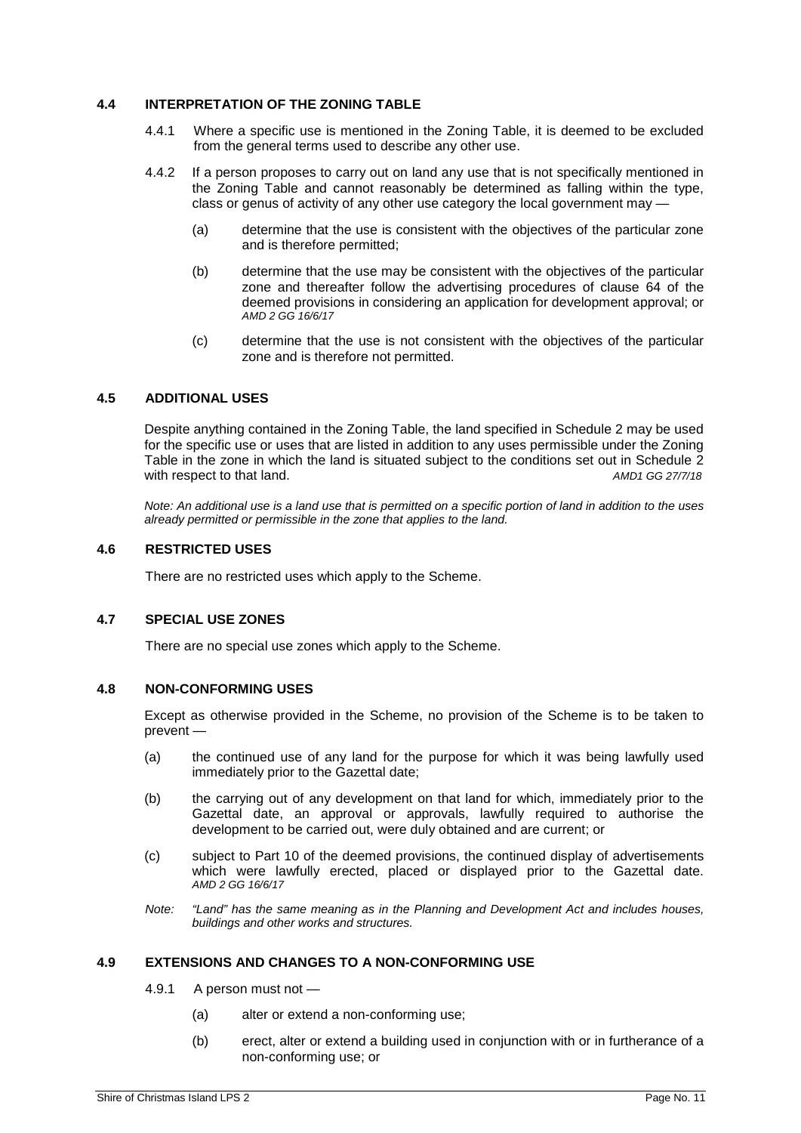#### <span id="page-10-0"></span>**4.4 INTERPRETATION OF THE ZONING TABLE**

- 4.4.1 Where a specific use is mentioned in the Zoning Table, it is deemed to be excluded from the general terms used to describe any other use.
- 4.4.2 If a person proposes to carry out on land any use that is not specifically mentioned in the Zoning Table and cannot reasonably be determined as falling within the type, class or genus of activity of any other use category the local government may —
	- (a) determine that the use is consistent with the objectives of the particular zone and is therefore permitted;
	- (b) determine that the use may be consistent with the objectives of the particular zone and thereafter follow the advertising procedures of clause 64 of the deemed provisions in considering an application for development approval; or *AMD 2 GG 16/6/17*
	- (c) determine that the use is not consistent with the objectives of the particular zone and is therefore not permitted.

#### <span id="page-10-1"></span>**4.5 ADDITIONAL USES**

Despite anything contained in the Zoning Table, the land specified in Schedule 2 may be used for the specific use or uses that are listed in addition to any uses permissible under the Zoning Table in the zone in which the land is situated subject to the conditions set out in Schedule 2 with respect to that land.  $AMD1 GG 27/7/18$ 

*Note: An additional use is a land use that is permitted on a specific portion of land in addition to the uses already permitted or permissible in the zone that applies to the land.*

#### <span id="page-10-2"></span>**4.6 RESTRICTED USES**

There are no restricted uses which apply to the Scheme.

#### <span id="page-10-3"></span>**4.7 SPECIAL USE ZONES**

There are no special use zones which apply to the Scheme.

#### <span id="page-10-4"></span>**4.8 NON-CONFORMING USES**

Except as otherwise provided in the Scheme, no provision of the Scheme is to be taken to prevent —

- (a) the continued use of any land for the purpose for which it was being lawfully used immediately prior to the Gazettal date;
- (b) the carrying out of any development on that land for which, immediately prior to the Gazettal date, an approval or approvals, lawfully required to authorise the development to be carried out, were duly obtained and are current; or
- (c) subject to Part 10 of the deemed provisions, the continued display of advertisements which were lawfully erected, placed or displayed prior to the Gazettal date. *AMD 2 GG 16/6/17*
- *Note: "Land" has the same meaning as in the Planning and Development Act and includes houses, buildings and other works and structures.*

#### <span id="page-10-5"></span>**4.9 EXTENSIONS AND CHANGES TO A NON-CONFORMING USE**

- 4.9.1 A person must not
	- (a) alter or extend a non-conforming use;
	- (b) erect, alter or extend a building used in conjunction with or in furtherance of a non-conforming use; or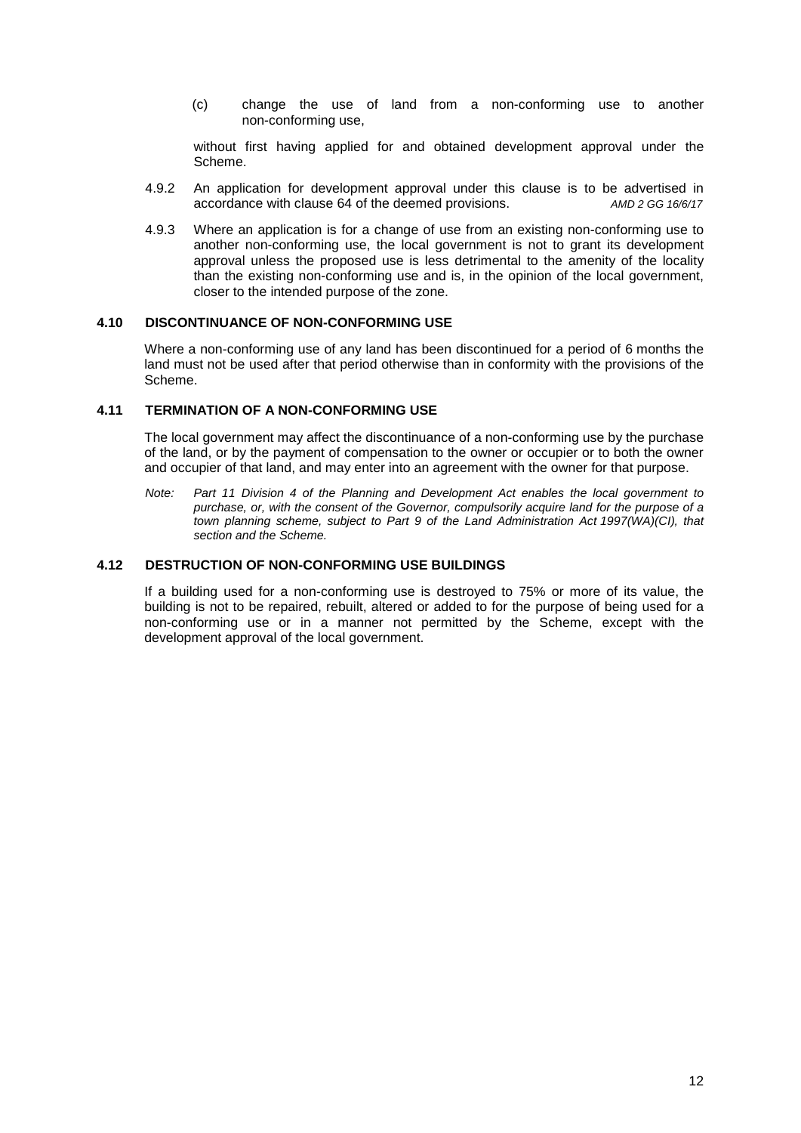(c) change the use of land from a non-conforming use to another non-conforming use,

without first having applied for and obtained development approval under the Scheme.

- 4.9.2 An application for development approval under this clause is to be advertised in accordance with clause 64 of the deemed provisions. *AMD 2 GG 16/6/17*
- 4.9.3 Where an application is for a change of use from an existing non-conforming use to another non-conforming use, the local government is not to grant its development approval unless the proposed use is less detrimental to the amenity of the locality than the existing non-conforming use and is, in the opinion of the local government, closer to the intended purpose of the zone.

#### <span id="page-11-0"></span>**4.10 DISCONTINUANCE OF NON-CONFORMING USE**

Where a non-conforming use of any land has been discontinued for a period of 6 months the land must not be used after that period otherwise than in conformity with the provisions of the Scheme.

#### <span id="page-11-1"></span>**4.11 TERMINATION OF A NON-CONFORMING USE**

The local government may affect the discontinuance of a non-conforming use by the purchase of the land, or by the payment of compensation to the owner or occupier or to both the owner and occupier of that land, and may enter into an agreement with the owner for that purpose.

*Note: Part 11 Division 4 of the Planning and Development Act enables the local government to purchase, or, with the consent of the Governor, compulsorily acquire land for the purpose of a town planning scheme, subject to Part 9 of the Land Administration Act 1997(WA)(CI), that section and the Scheme.*

#### <span id="page-11-2"></span>**4.12 DESTRUCTION OF NON-CONFORMING USE BUILDINGS**

If a building used for a non-conforming use is destroyed to 75% or more of its value, the building is not to be repaired, rebuilt, altered or added to for the purpose of being used for a non-conforming use or in a manner not permitted by the Scheme, except with the development approval of the local government.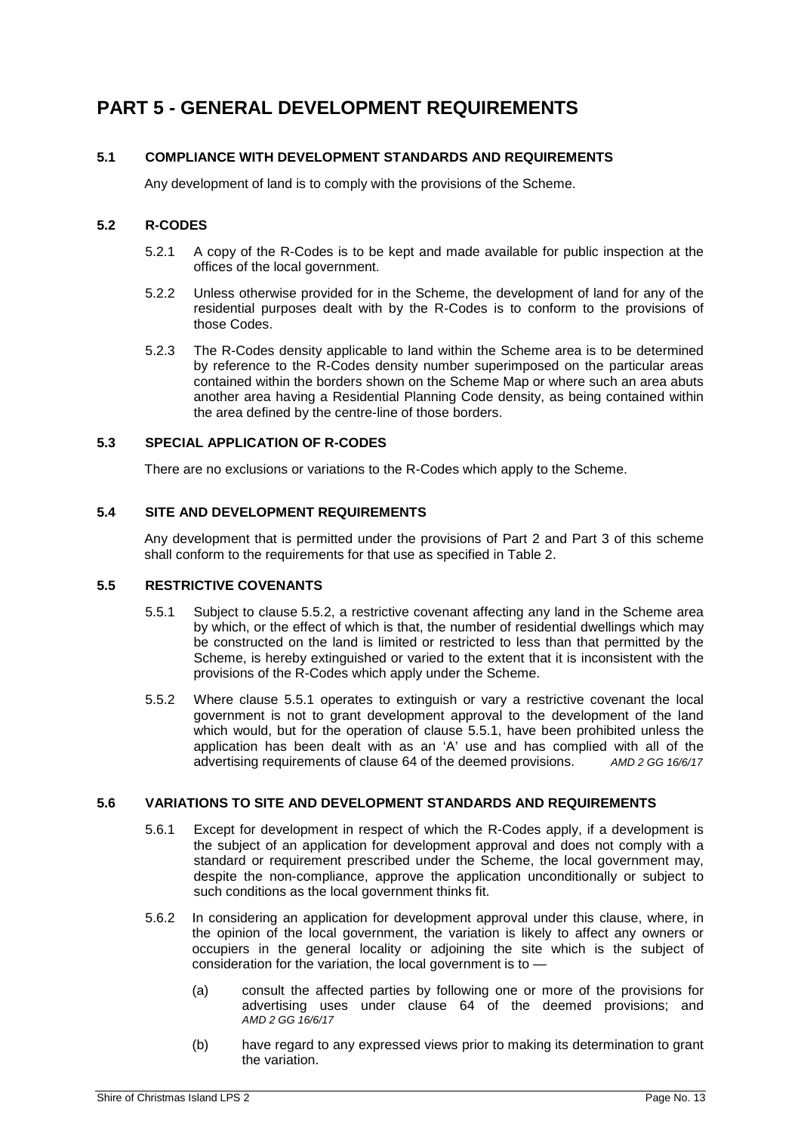## <span id="page-12-0"></span>**PART 5 - GENERAL DEVELOPMENT REQUIREMENTS**

#### <span id="page-12-1"></span>**5.1 COMPLIANCE WITH DEVELOPMENT STANDARDS AND REQUIREMENTS**

Any development of land is to comply with the provisions of the Scheme.

#### <span id="page-12-2"></span>**5.2 R-CODES**

- 5.2.1 A copy of the R-Codes is to be kept and made available for public inspection at the offices of the local government.
- 5.2.2 Unless otherwise provided for in the Scheme, the development of land for any of the residential purposes dealt with by the R-Codes is to conform to the provisions of those Codes.
- 5.2.3 The R-Codes density applicable to land within the Scheme area is to be determined by reference to the R-Codes density number superimposed on the particular areas contained within the borders shown on the Scheme Map or where such an area abuts another area having a Residential Planning Code density, as being contained within the area defined by the centre-line of those borders.

#### <span id="page-12-3"></span>**5.3 SPECIAL APPLICATION OF R-CODES**

There are no exclusions or variations to the R-Codes which apply to the Scheme.

#### <span id="page-12-4"></span>**5.4 SITE AND DEVELOPMENT REQUIREMENTS**

Any development that is permitted under the provisions of Part 2 and Part 3 of this scheme shall conform to the requirements for that use as specified in Table 2.

#### <span id="page-12-5"></span>**5.5 RESTRICTIVE COVENANTS**

- 5.5.1 Subject to clause 5.5.2, a restrictive covenant affecting any land in the Scheme area by which, or the effect of which is that, the number of residential dwellings which may be constructed on the land is limited or restricted to less than that permitted by the Scheme, is hereby extinguished or varied to the extent that it is inconsistent with the provisions of the R-Codes which apply under the Scheme.
- 5.5.2 Where clause 5.5.1 operates to extinguish or vary a restrictive covenant the local government is not to grant development approval to the development of the land which would, but for the operation of clause 5.5.1, have been prohibited unless the application has been dealt with as an 'A' use and has complied with all of the advertising requirements of clause 64 of the deemed provisions. AMD 2 GG 16/6/17 advertising requirements of clause 64 of the deemed provisions.

#### <span id="page-12-6"></span>**5.6 VARIATIONS TO SITE AND DEVELOPMENT STANDARDS AND REQUIREMENTS**

- 5.6.1 Except for development in respect of which the R-Codes apply, if a development is the subject of an application for development approval and does not comply with a standard or requirement prescribed under the Scheme, the local government may, despite the non-compliance, approve the application unconditionally or subject to such conditions as the local government thinks fit.
- 5.6.2 In considering an application for development approval under this clause, where, in the opinion of the local government, the variation is likely to affect any owners or occupiers in the general locality or adjoining the site which is the subject of consideration for the variation, the local government is to -
	- (a) consult the affected parties by following one or more of the provisions for advertising uses under clause 64 of the deemed provisions; and *AMD 2 GG 16/6/17*
	- (b) have regard to any expressed views prior to making its determination to grant the variation.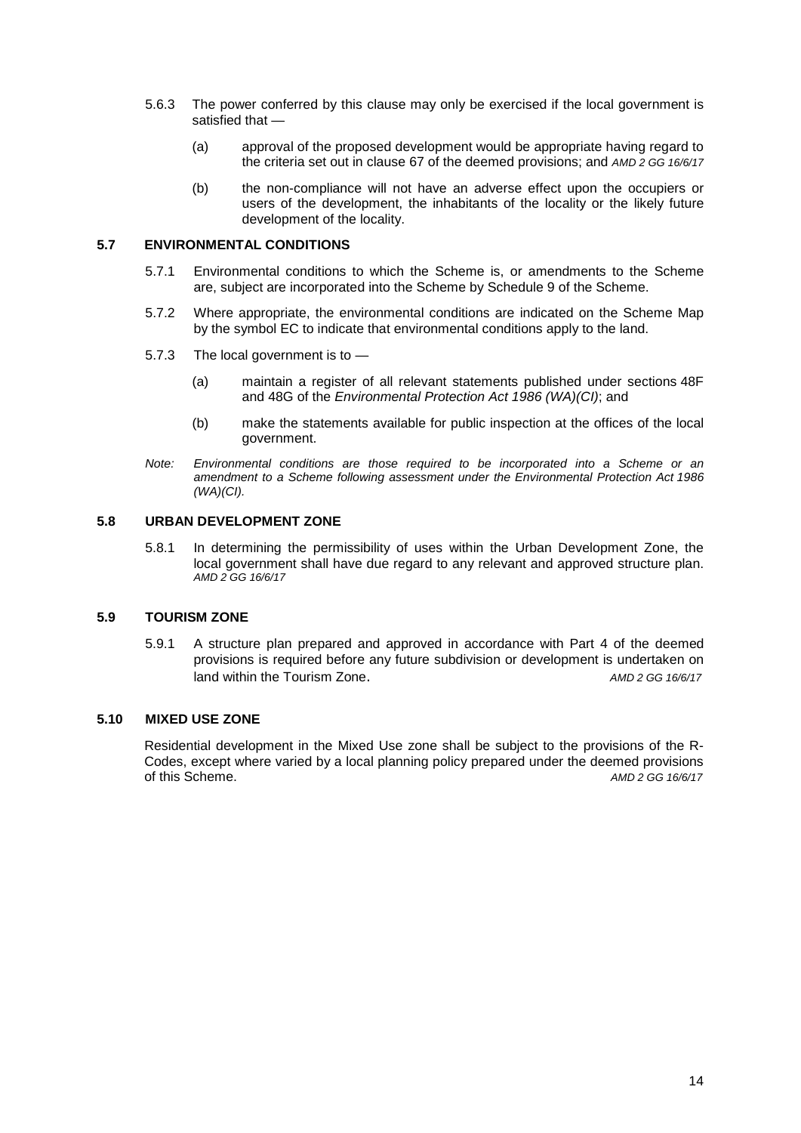- 5.6.3 The power conferred by this clause may only be exercised if the local government is satisfied that —
	- (a) approval of the proposed development would be appropriate having regard to the criteria set out in clause 67 of the deemed provisions; and *AMD 2 GG 16/6/17*
	- (b) the non-compliance will not have an adverse effect upon the occupiers or users of the development, the inhabitants of the locality or the likely future development of the locality.

#### **5.7 ENVIRONMENTAL CONDITIONS**

- 5.7.1 Environmental conditions to which the Scheme is, or amendments to the Scheme are, subject are incorporated into the Scheme by Schedule 9 of the Scheme.
- 5.7.2 Where appropriate, the environmental conditions are indicated on the Scheme Map by the symbol EC to indicate that environmental conditions apply to the land.
- 5.7.3 The local government is to
	- (a) maintain a register of all relevant statements published under sections 48F and 48G of the *Environmental Protection Act 1986 (WA)(CI)*; and
	- (b) make the statements available for public inspection at the offices of the local government.
- *Note: Environmental conditions are those required to be incorporated into a Scheme or an amendment to a Scheme following assessment under the Environmental Protection Act 1986 (WA)(CI).*

#### <span id="page-13-0"></span>**5.8 URBAN DEVELOPMENT ZONE**

5.8.1 In determining the permissibility of uses within the Urban Development Zone, the local government shall have due regard to any relevant and approved structure plan. *AMD 2 GG 16/6/17*

#### <span id="page-13-1"></span>**5.9 TOURISM ZONE**

5.9.1 A structure plan prepared and approved in accordance with Part 4 of the deemed provisions is required before any future subdivision or development is undertaken on land within the Tourism Zone. And the state of the state of the state of the state of the state of the state of the state of the state of the state of the state of the state of the state of the state of the state of the st

#### <span id="page-13-2"></span>**5.10 MIXED USE ZONE**

Residential development in the Mixed Use zone shall be subject to the provisions of the R-Codes, except where varied by a local planning policy prepared under the deemed provisions of this Scheme. *AMD 2 GG 16/6/17*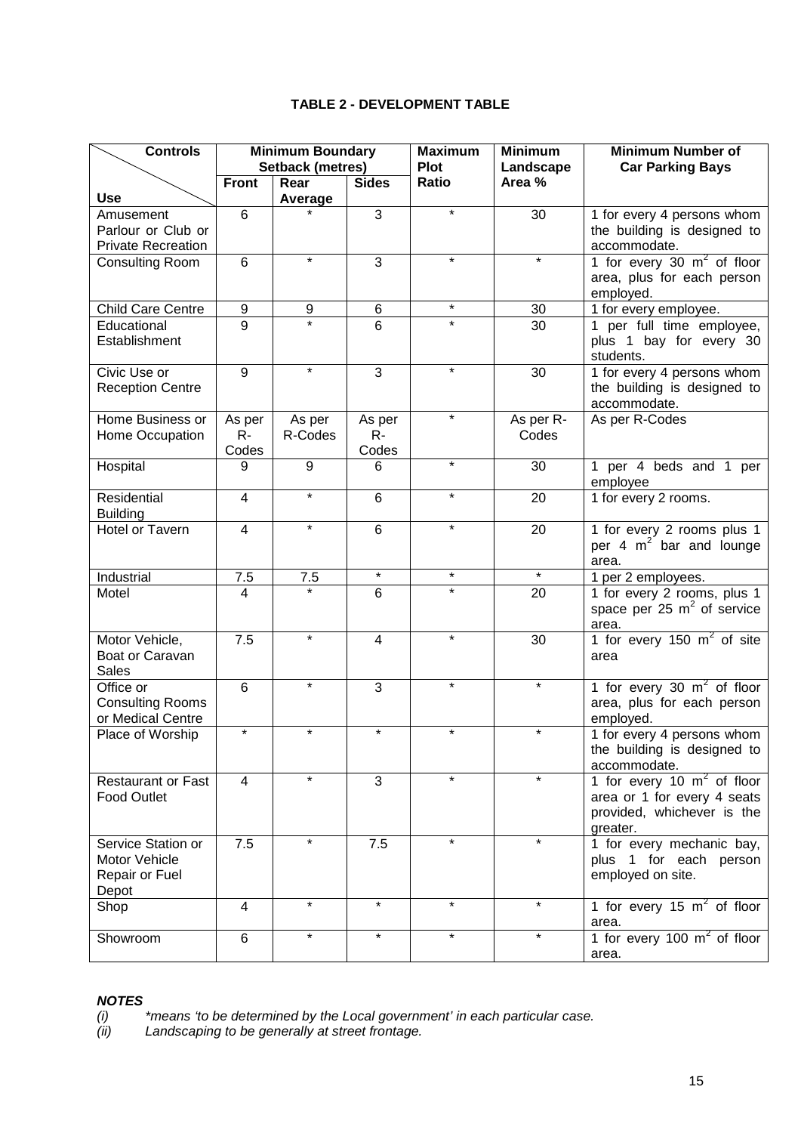#### **TABLE 2 - DEVELOPMENT TABLE**

<span id="page-14-0"></span>

| <b>Controls</b>                | <b>Minimum Boundary</b><br><b>Setback (metres)</b> |         | <b>Maximum</b> | <b>Minimum</b>       | <b>Minimum Number of</b> |                                                                           |
|--------------------------------|----------------------------------------------------|---------|----------------|----------------------|--------------------------|---------------------------------------------------------------------------|
|                                | <b>Front</b>                                       | Rear    | <b>Sides</b>   | <b>Plot</b><br>Ratio | Landscape<br>Area %      | <b>Car Parking Bays</b>                                                   |
| <b>Use</b>                     |                                                    | Average |                |                      |                          |                                                                           |
| Amusement                      | 6                                                  |         | 3              | $\star$              | 30                       | 1 for every 4 persons whom                                                |
| Parlour or Club or             |                                                    |         |                |                      |                          | the building is designed to                                               |
| <b>Private Recreation</b>      |                                                    |         |                |                      |                          | accommodate.                                                              |
| Consulting Room                | 6                                                  | $\star$ | $\overline{3}$ | $\star$              | $\star$                  | 1 for every 30 $m^2$ of floor                                             |
|                                |                                                    |         |                |                      |                          | area, plus for each person<br>employed.                                   |
| <b>Child Care Centre</b>       | $\boldsymbol{9}$                                   | 9       | $\,6$          | $\star$              | 30                       | 1 for every employee.                                                     |
| Educational                    | $\overline{9}$                                     |         | 6              | $\star$              | $\overline{30}$          | 1 per full time employee,                                                 |
| Establishment                  |                                                    |         |                |                      |                          | plus 1 bay for every 30<br>students.                                      |
| Civic Use or                   | $\overline{9}$                                     | $\star$ | $\overline{3}$ | $\star$              | 30                       | 1 for every 4 persons whom                                                |
| <b>Reception Centre</b>        |                                                    |         |                |                      |                          | the building is designed to<br>accommodate.                               |
| Home Business or               | As per                                             | As per  | As per         | $\star$              | As per R-                | As per R-Codes                                                            |
| Home Occupation                | $R -$<br>Codes                                     | R-Codes | $R -$<br>Codes |                      | Codes                    |                                                                           |
| Hospital                       | 9                                                  | 9       | 6              | $\star$              | 30                       | 1 per 4 beds and 1 per                                                    |
|                                |                                                    |         |                |                      |                          | employee                                                                  |
| Residential<br><b>Building</b> | $\overline{4}$                                     | $\star$ | 6              | $\star$              | 20                       | 1 for every 2 rooms.                                                      |
| <b>Hotel or Tavern</b>         | $\overline{4}$                                     | $\star$ | 6              | $\star$              | 20                       | 1 for every 2 rooms plus 1                                                |
|                                |                                                    |         |                |                      |                          | per 4 $m2$ bar and lounge<br>area.                                        |
| Industrial                     | 7.5                                                | 7.5     | $\star$        | $\star$              | $\star$                  | 1 per 2 employees.                                                        |
| Motel                          | $\overline{4}$                                     |         | 6              |                      | 20                       | 1 for every 2 rooms, plus 1<br>space per 25 $m2$ of service<br>area.      |
| Motor Vehicle,                 | 7.5                                                | $\star$ | $\overline{4}$ | $\star$              | 30                       | 1 for every 150 $m2$ of site                                              |
| Boat or Caravan                |                                                    |         |                |                      |                          | area                                                                      |
| <b>Sales</b>                   |                                                    |         |                |                      |                          |                                                                           |
| Office or                      | 6                                                  | $\star$ | 3              | $\star$              | $\star$                  | 1 for every 30 $m2$ of floor                                              |
| <b>Consulting Rooms</b>        |                                                    |         |                |                      |                          | area, plus for each person                                                |
| or Medical Centre              | $\star$                                            | $\star$ | $\star$        | $\star$              | $\star$                  | employed.                                                                 |
| Place of Worship               |                                                    |         |                |                      |                          | 1 for every 4 persons whom<br>the building is designed to<br>accommodate. |
| <b>Restaurant or Fast</b>      | 4                                                  | $\star$ | 3              | $\star$              | $\star$                  | 1 for every 10 $m2$ of floor                                              |
| <b>Food Outlet</b>             |                                                    |         |                |                      |                          | area or 1 for every 4 seats                                               |
|                                |                                                    |         |                |                      |                          | provided, whichever is the<br>greater.                                    |
| Service Station or             | 7.5                                                | $\star$ | 7.5            | $\star$              | $\star$                  | 1 for every mechanic bay,                                                 |
| Motor Vehicle                  |                                                    |         |                |                      |                          | plus 1 for each person                                                    |
| Repair or Fuel<br>Depot        |                                                    |         |                |                      |                          | employed on site.                                                         |
| Shop                           | $\overline{4}$                                     | $\star$ | $\star$        | $\star$              | $\star$                  | 1 for every 15 $m2$ of floor                                              |
|                                |                                                    | $\star$ | $\star$        | $\star$              | $\star$                  | area.                                                                     |
| Showroom                       | 6                                                  |         |                |                      |                          | 1 for every 100 $m2$ of floor<br>area.                                    |

# *NOTES*<br>(*i*)<br>(*ii*)

*(i) \*means 'to be determined by the Local government' in each particular case.*

*(ii) Landscaping to be generally at street frontage.*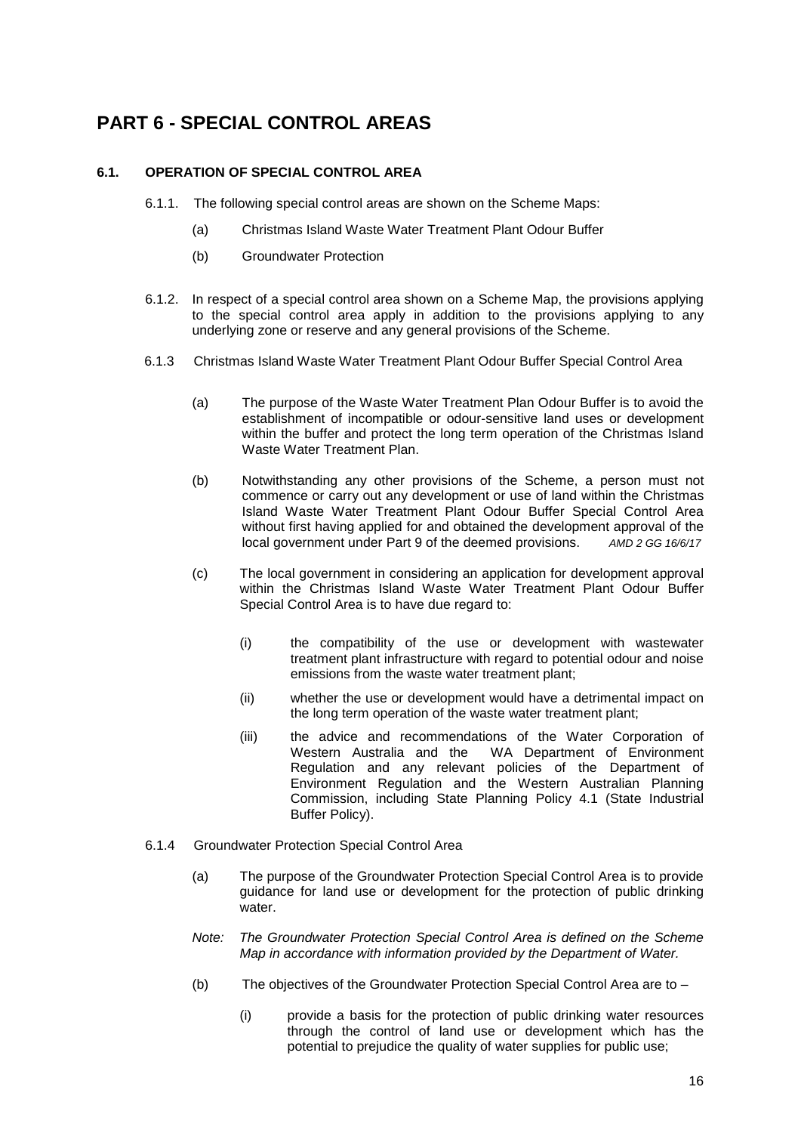## <span id="page-15-0"></span>**PART 6 - SPECIAL CONTROL AREAS**

#### <span id="page-15-1"></span>**6.1. OPERATION OF SPECIAL CONTROL AREA**

- 6.1.1. The following special control areas are shown on the Scheme Maps:
	- (a) Christmas Island Waste Water Treatment Plant Odour Buffer
	- (b) Groundwater Protection
- 6.1.2. In respect of a special control area shown on a Scheme Map, the provisions applying to the special control area apply in addition to the provisions applying to any underlying zone or reserve and any general provisions of the Scheme.
- 6.1.3 Christmas Island Waste Water Treatment Plant Odour Buffer Special Control Area
	- (a) The purpose of the Waste Water Treatment Plan Odour Buffer is to avoid the establishment of incompatible or odour-sensitive land uses or development within the buffer and protect the long term operation of the Christmas Island Waste Water Treatment Plan.
	- (b) Notwithstanding any other provisions of the Scheme, a person must not commence or carry out any development or use of land within the Christmas Island Waste Water Treatment Plant Odour Buffer Special Control Area without first having applied for and obtained the development approval of the local government under Part 9 of the deemed provisions.  $AMD 2 GG 16/6/17$ local government under Part 9 of the deemed provisions.
	- (c) The local government in considering an application for development approval within the Christmas Island Waste Water Treatment Plant Odour Buffer Special Control Area is to have due regard to:
		- (i) the compatibility of the use or development with wastewater treatment plant infrastructure with regard to potential odour and noise emissions from the waste water treatment plant;
		- (ii) whether the use or development would have a detrimental impact on the long term operation of the waste water treatment plant;
		- (iii) the advice and recommendations of the Water Corporation of WA Department of Environment Regulation and any relevant policies of the Department of Environment Regulation and the Western Australian Planning Commission, including State Planning Policy 4.1 (State Industrial Buffer Policy).
- 6.1.4 Groundwater Protection Special Control Area
	- (a) The purpose of the Groundwater Protection Special Control Area is to provide guidance for land use or development for the protection of public drinking water.
	- *Note: The Groundwater Protection Special Control Area is defined on the Scheme Map in accordance with information provided by the Department of Water.*
	- (b) The objectives of the Groundwater Protection Special Control Area are to
		- (i) provide a basis for the protection of public drinking water resources through the control of land use or development which has the potential to prejudice the quality of water supplies for public use;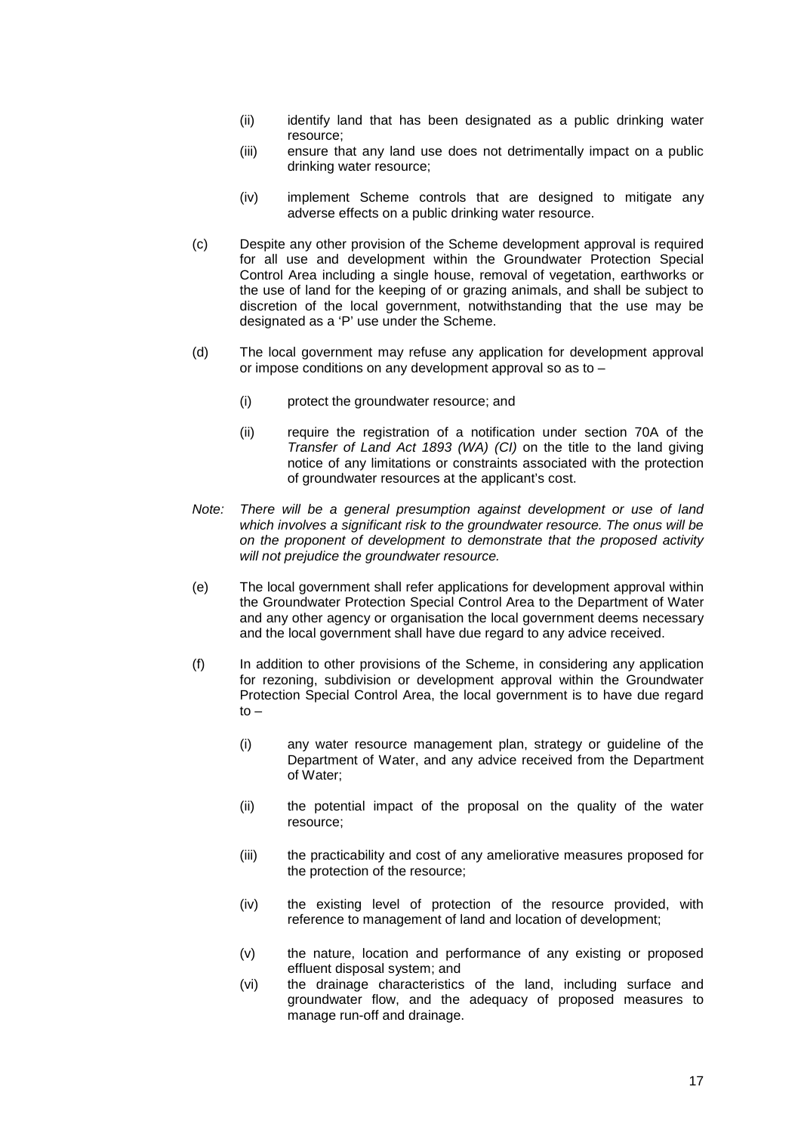- (ii) identify land that has been designated as a public drinking water resource;
- (iii) ensure that any land use does not detrimentally impact on a public drinking water resource;
- (iv) implement Scheme controls that are designed to mitigate any adverse effects on a public drinking water resource.
- (c) Despite any other provision of the Scheme development approval is required for all use and development within the Groundwater Protection Special Control Area including a single house, removal of vegetation, earthworks or the use of land for the keeping of or grazing animals, and shall be subject to discretion of the local government, notwithstanding that the use may be designated as a 'P' use under the Scheme.
- (d) The local government may refuse any application for development approval or impose conditions on any development approval so as to –
	- (i) protect the groundwater resource; and
	- (ii) require the registration of a notification under section 70A of the *Transfer of Land Act 1893 (WA) (CI)* on the title to the land giving notice of any limitations or constraints associated with the protection of groundwater resources at the applicant's cost.
- *Note: There will be a general presumption against development or use of land which involves a significant risk to the groundwater resource. The onus will be on the proponent of development to demonstrate that the proposed activity will not prejudice the groundwater resource.*
- (e) The local government shall refer applications for development approval within the Groundwater Protection Special Control Area to the Department of Water and any other agency or organisation the local government deems necessary and the local government shall have due regard to any advice received.
- (f) In addition to other provisions of the Scheme, in considering any application for rezoning, subdivision or development approval within the Groundwater Protection Special Control Area, the local government is to have due regard to –
	- (i) any water resource management plan, strategy or guideline of the Department of Water, and any advice received from the Department of Water;
	- (ii) the potential impact of the proposal on the quality of the water resource;
	- (iii) the practicability and cost of any ameliorative measures proposed for the protection of the resource;
	- (iv) the existing level of protection of the resource provided, with reference to management of land and location of development;
	- (v) the nature, location and performance of any existing or proposed effluent disposal system; and
	- (vi) the drainage characteristics of the land, including surface and groundwater flow, and the adequacy of proposed measures to manage run-off and drainage.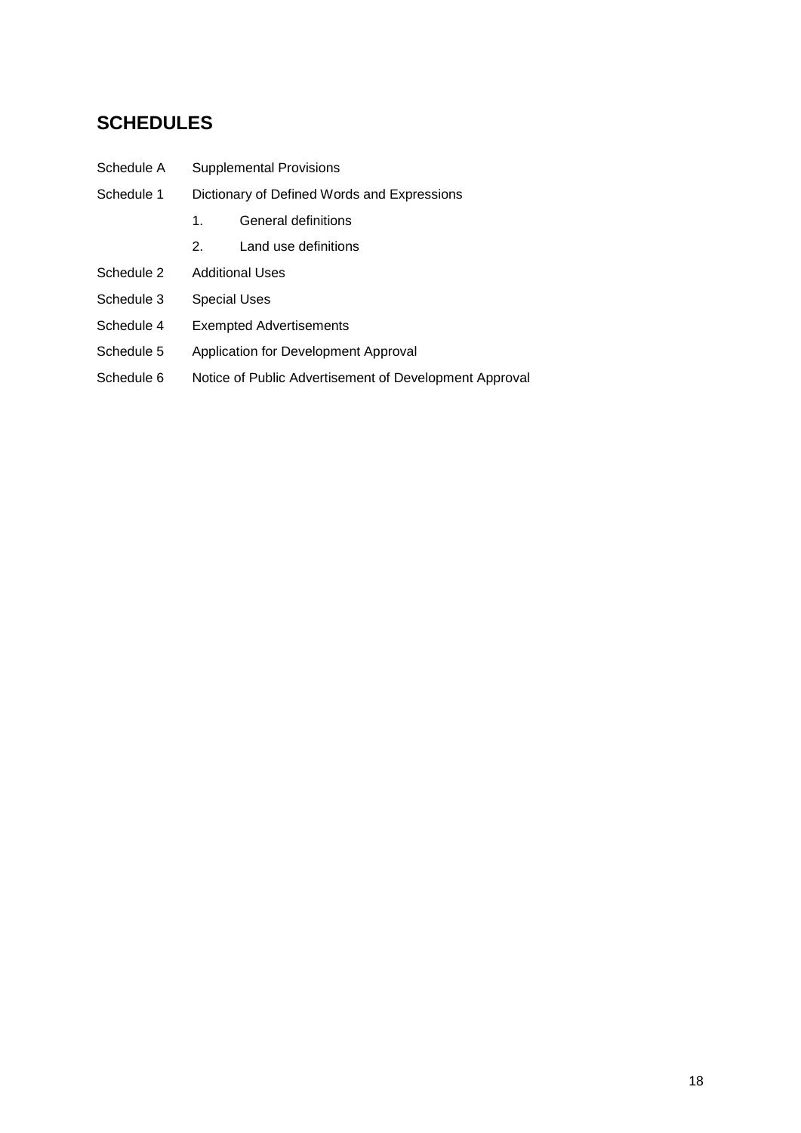## <span id="page-17-0"></span>**SCHEDULES**

- Schedule A Supplemental Provisions
- Schedule 1 Dictionary of Defined Words and Expressions
	- 1. General definitions
	- 2. Land use definitions
- Schedule 2 Additional Uses
- Schedule 3 Special Uses
- Schedule 4 Exempted Advertisements
- Schedule 5 Application for Development Approval
- Schedule 6 Notice of Public Advertisement of Development Approval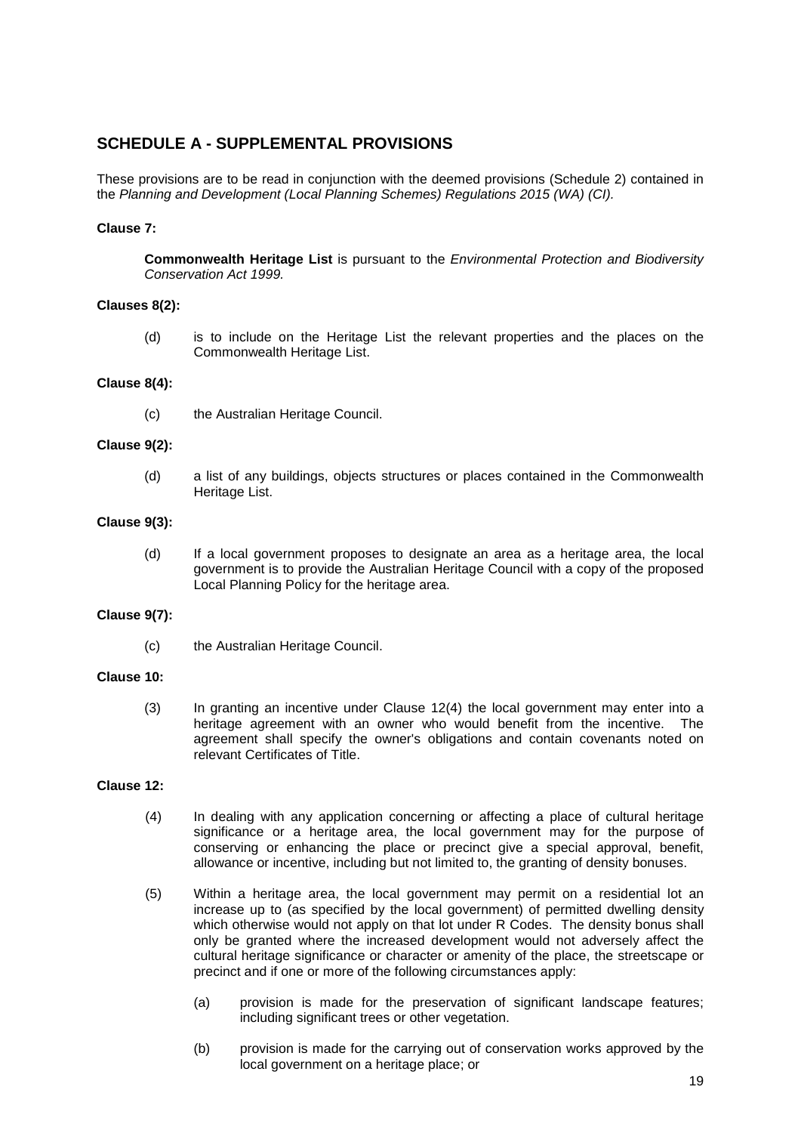#### <span id="page-18-0"></span>**SCHEDULE A - SUPPLEMENTAL PROVISIONS**

These provisions are to be read in conjunction with the deemed provisions (Schedule 2) contained in the *Planning and Development (Local Planning Schemes) Regulations 2015 (WA) (CI).*

#### **Clause 7:**

**Commonwealth Heritage List** is pursuant to the *Environmental Protection and Biodiversity Conservation Act 1999.*

#### **Clauses 8(2):**

(d) is to include on the Heritage List the relevant properties and the places on the Commonwealth Heritage List.

#### **Clause 8(4):**

(c) the Australian Heritage Council.

#### **Clause 9(2):**

(d) a list of any buildings, objects structures or places contained in the Commonwealth Heritage List.

#### **Clause 9(3):**

(d) If a local government proposes to designate an area as a heritage area, the local government is to provide the Australian Heritage Council with a copy of the proposed Local Planning Policy for the heritage area.

#### **Clause 9(7):**

(c) the Australian Heritage Council.

#### **Clause 10:**

(3) In granting an incentive under Clause 12(4) the local government may enter into a heritage agreement with an owner who would benefit from the incentive. The agreement shall specify the owner's obligations and contain covenants noted on relevant Certificates of Title.

#### **Clause 12:**

- (4) In dealing with any application concerning or affecting a place of cultural heritage significance or a heritage area, the local government may for the purpose of conserving or enhancing the place or precinct give a special approval, benefit, allowance or incentive, including but not limited to, the granting of density bonuses.
- (5) Within a heritage area, the local government may permit on a residential lot an increase up to (as specified by the local government) of permitted dwelling density which otherwise would not apply on that lot under R Codes. The density bonus shall only be granted where the increased development would not adversely affect the cultural heritage significance or character or amenity of the place, the streetscape or precinct and if one or more of the following circumstances apply:
	- (a) provision is made for the preservation of significant landscape features; including significant trees or other vegetation.
	- (b) provision is made for the carrying out of conservation works approved by the local government on a heritage place; or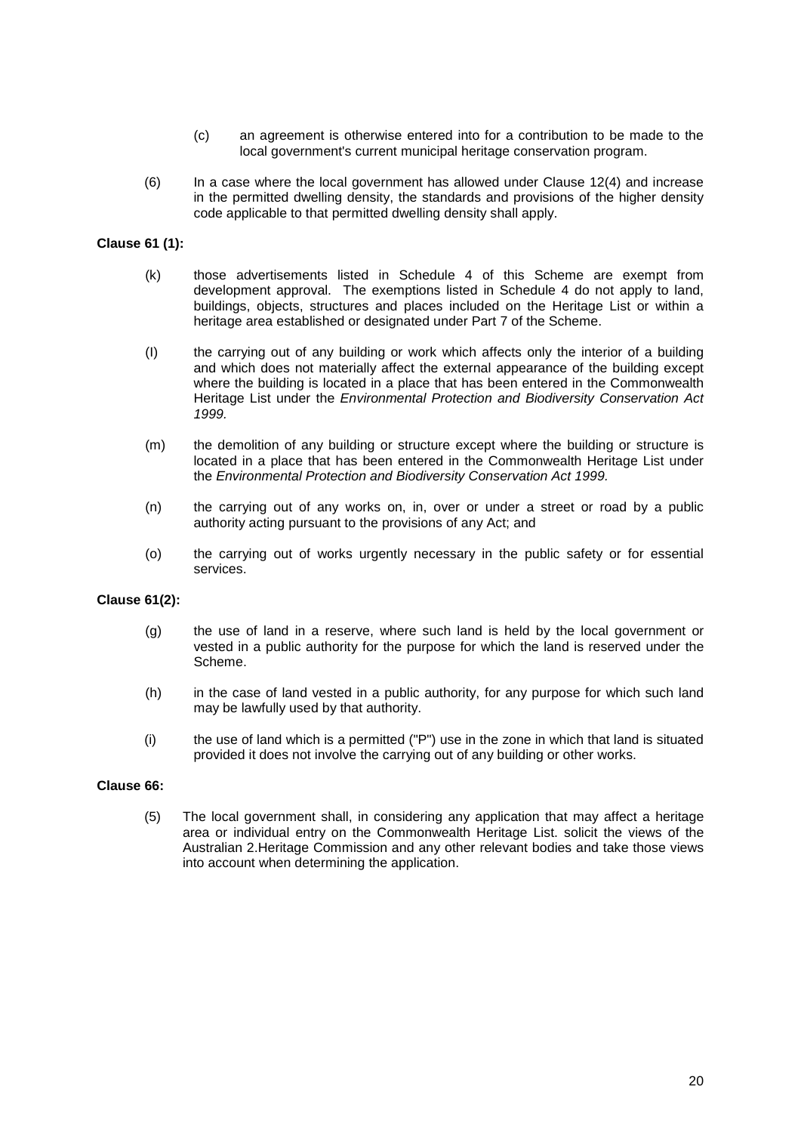- (c) an agreement is otherwise entered into for a contribution to be made to the local government's current municipal heritage conservation program.
- (6) In a case where the local government has allowed under Clause 12(4) and increase in the permitted dwelling density, the standards and provisions of the higher density code applicable to that permitted dwelling density shall apply.

#### **Clause 61 (1):**

- (k) those advertisements listed in Schedule 4 of this Scheme are exempt from development approval. The exemptions listed in Schedule 4 do not apply to land, buildings, objects, structures and places included on the Heritage List or within a heritage area established or designated under Part 7 of the Scheme.
- (I) the carrying out of any building or work which affects only the interior of a building and which does not materially affect the external appearance of the building except where the building is located in a place that has been entered in the Commonwealth Heritage List under the *Environmental Protection and Biodiversity Conservation Act 1999.*
- (m) the demolition of any building or structure except where the building or structure is located in a place that has been entered in the Commonwealth Heritage List under the *Environmental Protection and Biodiversity Conservation Act 1999.*
- (n) the carrying out of any works on, in, over or under a street or road by a public authority acting pursuant to the provisions of any Act; and
- (o) the carrying out of works urgently necessary in the public safety or for essential services.

#### **Clause 61(2):**

- (g) the use of land in a reserve, where such land is held by the local government or vested in a public authority for the purpose for which the land is reserved under the Scheme.
- (h) in the case of land vested in a public authority, for any purpose for which such land may be lawfully used by that authority.
- (i) the use of land which is a permitted ("P") use in the zone in which that land is situated provided it does not involve the carrying out of any building or other works.

#### **Clause 66:**

(5) The local government shall, in considering any application that may affect a heritage area or individual entry on the Commonwealth Heritage List. solicit the views of the Australian 2.Heritage Commission and any other relevant bodies and take those views into account when determining the application.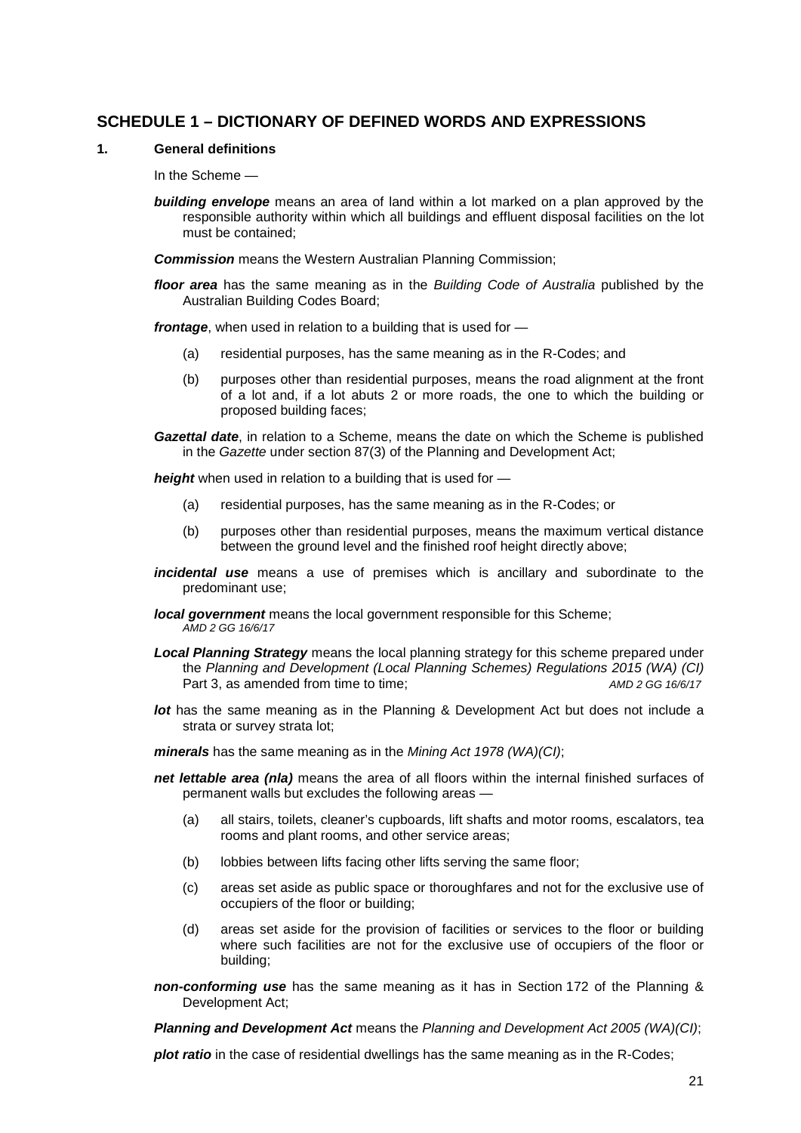#### <span id="page-20-0"></span>**SCHEDULE 1 – DICTIONARY OF DEFINED WORDS AND EXPRESSIONS**

#### **1. General definitions**

In the Scheme —

*building envelope* means an area of land within a lot marked on a plan approved by the responsible authority within which all buildings and effluent disposal facilities on the lot must be contained;

*Commission* means the Western Australian Planning Commission;

*floor area* has the same meaning as in the *Building Code of Australia* published by the Australian Building Codes Board;

*frontage*, when used in relation to a building that is used for —

- (a) residential purposes, has the same meaning as in the R-Codes; and
- (b) purposes other than residential purposes, means the road alignment at the front of a lot and, if a lot abuts 2 or more roads, the one to which the building or proposed building faces;
- *Gazettal date*, in relation to a Scheme, means the date on which the Scheme is published in the *Gazette* under section 87(3) of the Planning and Development Act;

*height* when used in relation to a building that is used for —

- (a) residential purposes, has the same meaning as in the R-Codes; or
- (b) purposes other than residential purposes, means the maximum vertical distance between the ground level and the finished roof height directly above;
- *incidental use* means a use of premises which is ancillary and subordinate to the predominant use;
- *local government* means the local government responsible for this Scheme; *AMD 2 GG 16/6/17*
- *Local Planning Strategy* means the local planning strategy for this scheme prepared under the *Planning and Development (Local Planning Schemes) Regulations 2015 (WA) (CI)* Part 3, as amended from time to time; *AMD 2 GG 16/6/17*
- *lot* has the same meaning as in the Planning & Development Act but does not include a strata or survey strata lot;

*minerals* has the same meaning as in the *Mining Act 1978 (WA)(CI)*;

- *net lettable area (nla)* means the area of all floors within the internal finished surfaces of permanent walls but excludes the following areas —
	- (a) all stairs, toilets, cleaner's cupboards, lift shafts and motor rooms, escalators, tea rooms and plant rooms, and other service areas;
	- (b) lobbies between lifts facing other lifts serving the same floor;
	- (c) areas set aside as public space or thoroughfares and not for the exclusive use of occupiers of the floor or building;
	- (d) areas set aside for the provision of facilities or services to the floor or building where such facilities are not for the exclusive use of occupiers of the floor or building;
- *non-conforming use* has the same meaning as it has in Section 172 of the Planning & Development Act;

*Planning and Development Act* means the *Planning and Development Act 2005 (WA)(CI)*;

*plot ratio* in the case of residential dwellings has the same meaning as in the R-Codes;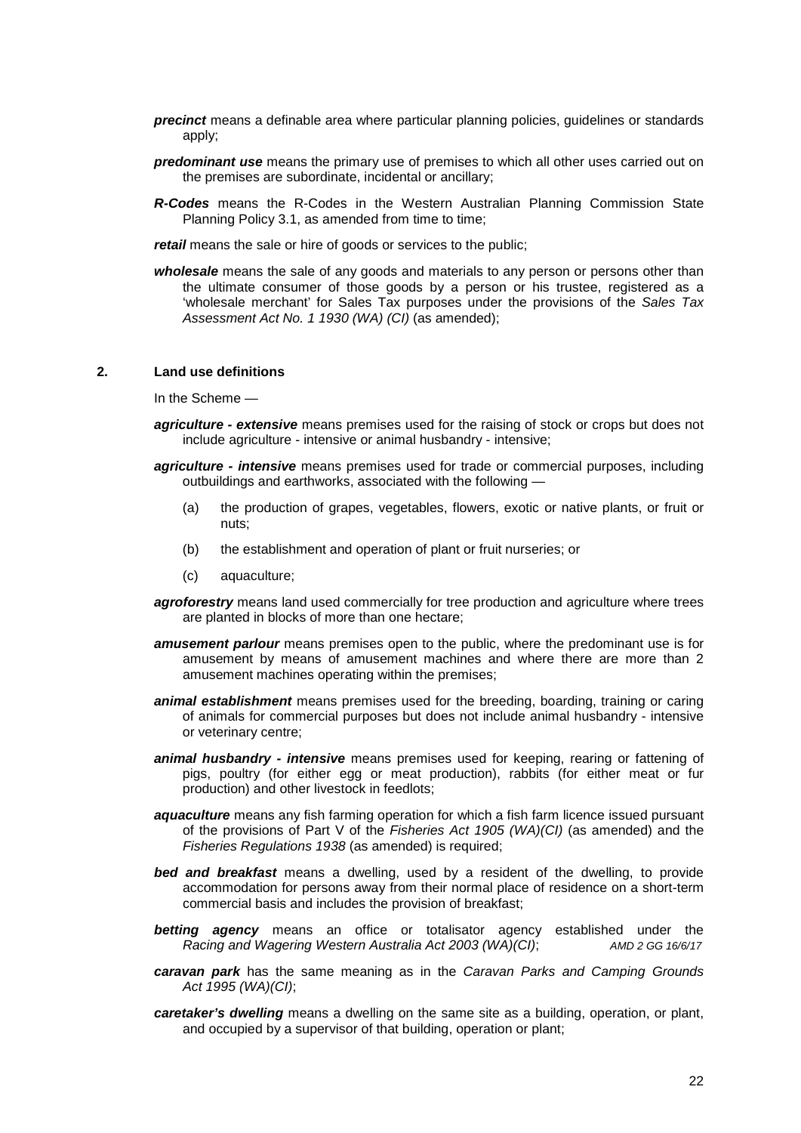- *precinct* means a definable area where particular planning policies, guidelines or standards apply;
- *predominant use* means the primary use of premises to which all other uses carried out on the premises are subordinate, incidental or ancillary;
- *R-Codes* means the R-Codes in the Western Australian Planning Commission State Planning Policy 3.1, as amended from time to time;

*retail* means the sale or hire of goods or services to the public;

*wholesale* means the sale of any goods and materials to any person or persons other than the ultimate consumer of those goods by a person or his trustee, registered as a 'wholesale merchant' for Sales Tax purposes under the provisions of the *Sales Tax Assessment Act No. 1 1930 (WA) (CI)* (as amended);

#### **2. Land use definitions**

In the Scheme —

- *agriculture - extensive* means premises used for the raising of stock or crops but does not include agriculture - intensive or animal husbandry - intensive;
- *agriculture - intensive* means premises used for trade or commercial purposes, including outbuildings and earthworks, associated with the following —
	- (a) the production of grapes, vegetables, flowers, exotic or native plants, or fruit or nuts;
	- (b) the establishment and operation of plant or fruit nurseries; or
	- (c) aquaculture;
- agroforestry means land used commercially for tree production and agriculture where trees are planted in blocks of more than one hectare;
- **amusement parlour** means premises open to the public, where the predominant use is for amusement by means of amusement machines and where there are more than 2 amusement machines operating within the premises;
- *animal establishment* means premises used for the breeding, boarding, training or caring of animals for commercial purposes but does not include animal husbandry - intensive or veterinary centre;
- *animal husbandry - intensive* means premises used for keeping, rearing or fattening of pigs, poultry (for either egg or meat production), rabbits (for either meat or fur production) and other livestock in feedlots;
- *aquaculture* means any fish farming operation for which a fish farm licence issued pursuant of the provisions of Part V of the *Fisheries Act 1905 (WA)(CI)* (as amended) and the *Fisheries Regulations 1938* (as amended) is required;
- *bed and breakfast* means a dwelling, used by a resident of the dwelling, to provide accommodation for persons away from their normal place of residence on a short-term commercial basis and includes the provision of breakfast;
- *betting agency* means an office or totalisator agency established under the *Racing and Wagering Western Australia Act 2003 (WA)(CI)*; *AMD 2 GG 16/6/17*
- *caravan park* has the same meaning as in the *Caravan Parks and Camping Grounds Act 1995 (WA)(CI)*;
- *caretaker's dwelling* means a dwelling on the same site as a building, operation, or plant, and occupied by a supervisor of that building, operation or plant;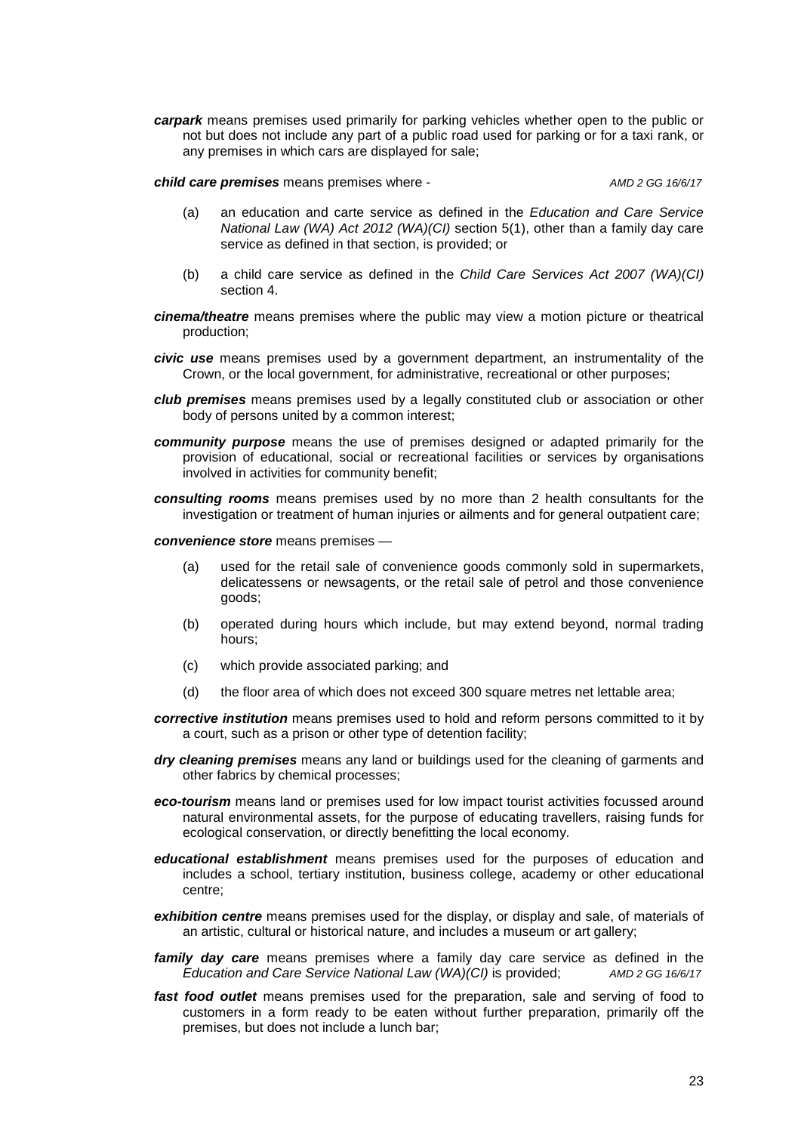*carpark* means premises used primarily for parking vehicles whether open to the public or not but does not include any part of a public road used for parking or for a taxi rank, or any premises in which cars are displayed for sale;

*child care premises* means premises where - *AMD 2 GG 16/6/17*

- (a) an education and carte service as defined in the *Education and Care Service National Law (WA) Act 2012 (WA)(CI)* section 5(1), other than a family day care service as defined in that section, is provided; or
- (b) a child care service as defined in the *Child Care Services Act 2007 (WA)(CI)* section 4.
- *cinema/theatre* means premises where the public may view a motion picture or theatrical production;
- *civic use* means premises used by a government department, an instrumentality of the Crown, or the local government, for administrative, recreational or other purposes;
- *club premises* means premises used by a legally constituted club or association or other body of persons united by a common interest;
- *community purpose* means the use of premises designed or adapted primarily for the provision of educational, social or recreational facilities or services by organisations involved in activities for community benefit;
- *consulting rooms* means premises used by no more than 2 health consultants for the investigation or treatment of human injuries or ailments and for general outpatient care;
- *convenience store* means premises
	- (a) used for the retail sale of convenience goods commonly sold in supermarkets, delicatessens or newsagents, or the retail sale of petrol and those convenience goods;
	- (b) operated during hours which include, but may extend beyond, normal trading hours;
	- (c) which provide associated parking; and
	- (d) the floor area of which does not exceed 300 square metres net lettable area;
- *corrective institution* means premises used to hold and reform persons committed to it by a court, such as a prison or other type of detention facility;
- *dry cleaning premises* means any land or buildings used for the cleaning of garments and other fabrics by chemical processes;
- *eco-tourism* means land or premises used for low impact tourist activities focussed around natural environmental assets, for the purpose of educating travellers, raising funds for ecological conservation, or directly benefitting the local economy.
- *educational establishment* means premises used for the purposes of education and includes a school, tertiary institution, business college, academy or other educational centre;
- *exhibition centre* means premises used for the display, or display and sale, of materials of an artistic, cultural or historical nature, and includes a museum or art gallery;
- *family day care* means premises where a family day care service as defined in the *Education and Care Service National Law (WA)(CI)* is provided; *AMD 2 GG 16/6/17*
- *fast food outlet* means premises used for the preparation, sale and serving of food to customers in a form ready to be eaten without further preparation, primarily off the premises, but does not include a lunch bar;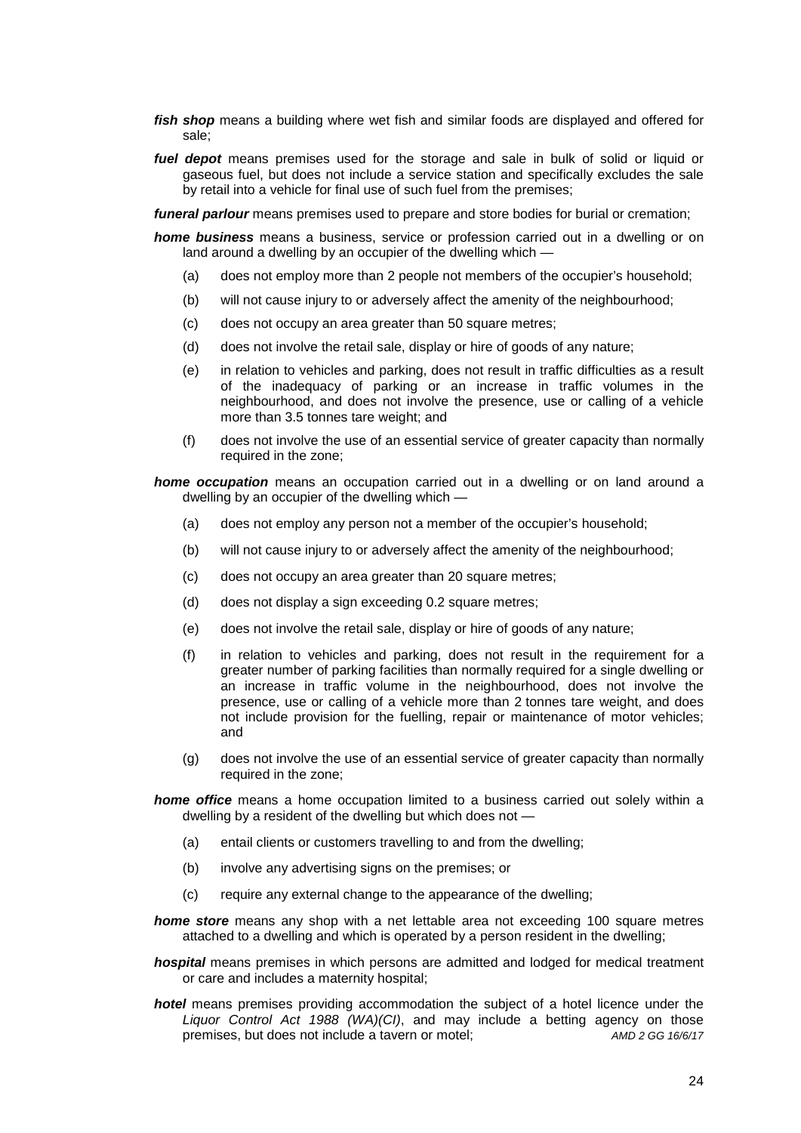- *fish shop* means a building where wet fish and similar foods are displayed and offered for sale;
- *fuel depot* means premises used for the storage and sale in bulk of solid or liquid or gaseous fuel, but does not include a service station and specifically excludes the sale by retail into a vehicle for final use of such fuel from the premises;

*funeral parlour* means premises used to prepare and store bodies for burial or cremation;

*home business* means a business, service or profession carried out in a dwelling or on land around a dwelling by an occupier of the dwelling which —

- (a) does not employ more than 2 people not members of the occupier's household;
- (b) will not cause injury to or adversely affect the amenity of the neighbourhood;
- (c) does not occupy an area greater than 50 square metres;
- (d) does not involve the retail sale, display or hire of goods of any nature;
- (e) in relation to vehicles and parking, does not result in traffic difficulties as a result of the inadequacy of parking or an increase in traffic volumes in the neighbourhood, and does not involve the presence, use or calling of a vehicle more than 3.5 tonnes tare weight; and
- (f) does not involve the use of an essential service of greater capacity than normally required in the zone;

*home occupation* means an occupation carried out in a dwelling or on land around a dwelling by an occupier of the dwelling which —

- (a) does not employ any person not a member of the occupier's household;
- (b) will not cause injury to or adversely affect the amenity of the neighbourhood;
- (c) does not occupy an area greater than 20 square metres;
- (d) does not display a sign exceeding 0.2 square metres;
- (e) does not involve the retail sale, display or hire of goods of any nature;
- (f) in relation to vehicles and parking, does not result in the requirement for a greater number of parking facilities than normally required for a single dwelling or an increase in traffic volume in the neighbourhood, does not involve the presence, use or calling of a vehicle more than 2 tonnes tare weight, and does not include provision for the fuelling, repair or maintenance of motor vehicles; and
- (g) does not involve the use of an essential service of greater capacity than normally required in the zone;

*home office* means a home occupation limited to a business carried out solely within a dwelling by a resident of the dwelling but which does not —

- (a) entail clients or customers travelling to and from the dwelling;
- (b) involve any advertising signs on the premises; or
- (c) require any external change to the appearance of the dwelling;
- **home store** means any shop with a net lettable area not exceeding 100 square metres attached to a dwelling and which is operated by a person resident in the dwelling;

*hospital* means premises in which persons are admitted and lodged for medical treatment or care and includes a maternity hospital;

*hotel* means premises providing accommodation the subject of a hotel licence under the *Liquor Control Act 1988 (WA)(CI)*, and may include a betting agency on those premises, but does not include a tavern or motel; *AMD 2 GG 16/6/17*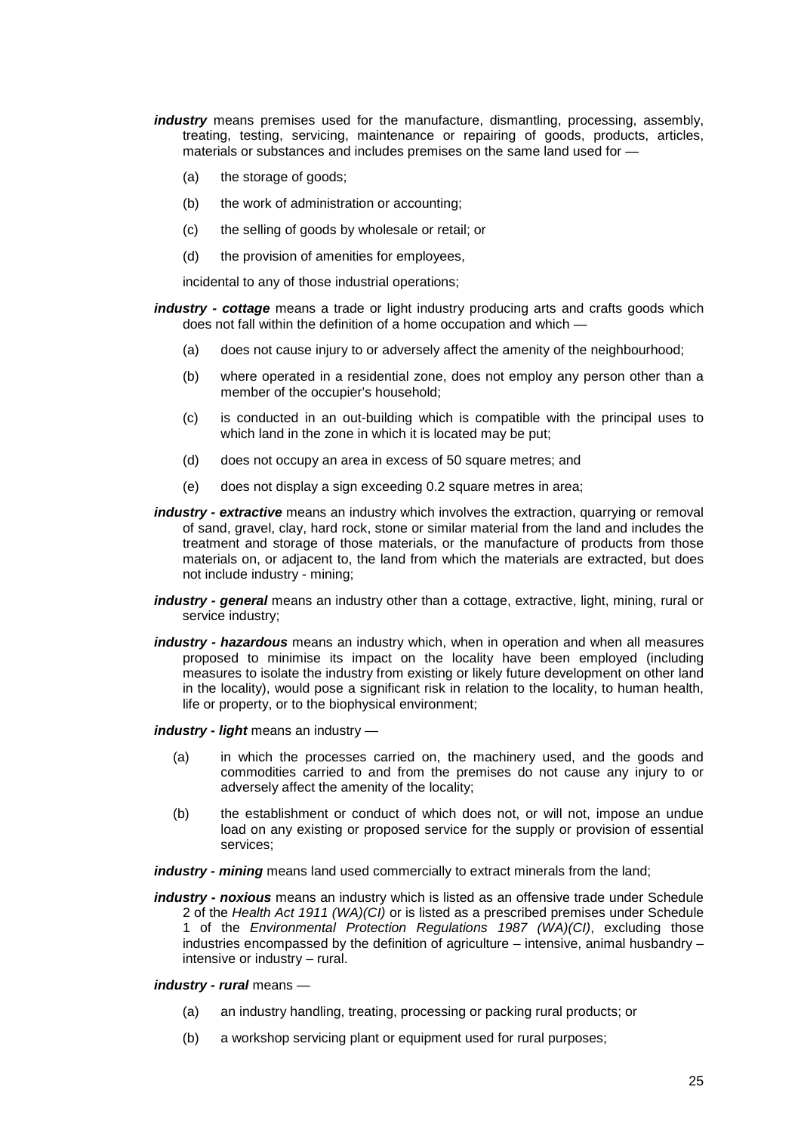- *industry* means premises used for the manufacture, dismantling, processing, assembly, treating, testing, servicing, maintenance or repairing of goods, products, articles, materials or substances and includes premises on the same land used for —
	- (a) the storage of goods;
	- (b) the work of administration or accounting;
	- (c) the selling of goods by wholesale or retail; or
	- (d) the provision of amenities for employees,

incidental to any of those industrial operations;

*industry - cottage* means a trade or light industry producing arts and crafts goods which does not fall within the definition of a home occupation and which —

- (a) does not cause injury to or adversely affect the amenity of the neighbourhood;
- (b) where operated in a residential zone, does not employ any person other than a member of the occupier's household;
- (c) is conducted in an out-building which is compatible with the principal uses to which land in the zone in which it is located may be put;
- (d) does not occupy an area in excess of 50 square metres; and
- (e) does not display a sign exceeding 0.2 square metres in area;
- *industry - extractive* means an industry which involves the extraction, quarrying or removal of sand, gravel, clay, hard rock, stone or similar material from the land and includes the treatment and storage of those materials, or the manufacture of products from those materials on, or adjacent to, the land from which the materials are extracted, but does not include industry - mining;
- *industry - general* means an industry other than a cottage, extractive, light, mining, rural or service industry;
- *industry - hazardous* means an industry which, when in operation and when all measures proposed to minimise its impact on the locality have been employed (including measures to isolate the industry from existing or likely future development on other land in the locality), would pose a significant risk in relation to the locality, to human health, life or property, or to the biophysical environment;

*industry - light* means an industry —

- (a) in which the processes carried on, the machinery used, and the goods and commodities carried to and from the premises do not cause any injury to or adversely affect the amenity of the locality;
- (b) the establishment or conduct of which does not, or will not, impose an undue load on any existing or proposed service for the supply or provision of essential services;

*industry - mining* means land used commercially to extract minerals from the land;

- *industry - noxious* means an industry which is listed as an offensive trade under Schedule 2 of the *Health Act 1911 (WA)(CI)* or is listed as a prescribed premises under Schedule 1 of the *Environmental Protection Regulations 1987 (WA)(CI)*, excluding those industries encompassed by the definition of agriculture – intensive, animal husbandry – intensive or industry – rural.
- *industry - rural* means
	- (a) an industry handling, treating, processing or packing rural products; or
	- (b) a workshop servicing plant or equipment used for rural purposes;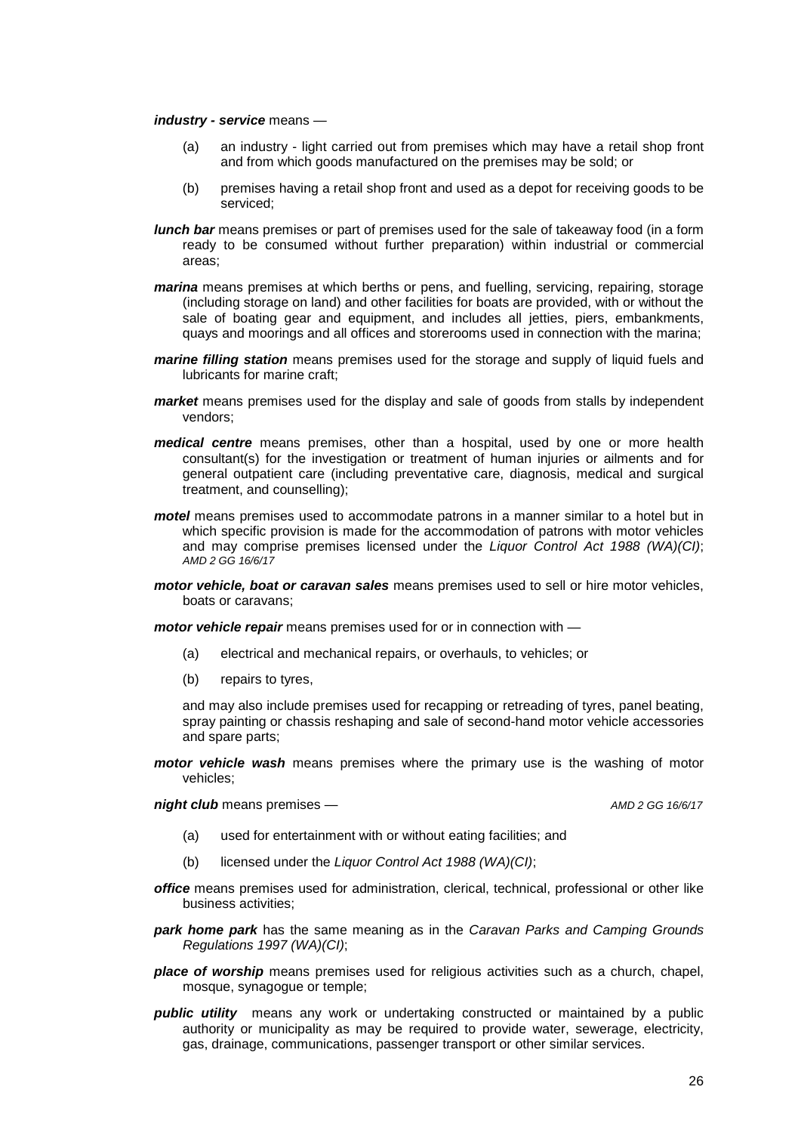#### *industry - service* means —

- (a) an industry light carried out from premises which may have a retail shop front and from which goods manufactured on the premises may be sold; or
- (b) premises having a retail shop front and used as a depot for receiving goods to be serviced;
- *lunch bar* means premises or part of premises used for the sale of takeaway food (in a form ready to be consumed without further preparation) within industrial or commercial areas;
- *marina* means premises at which berths or pens, and fuelling, servicing, repairing, storage (including storage on land) and other facilities for boats are provided, with or without the sale of boating gear and equipment, and includes all jetties, piers, embankments, quays and moorings and all offices and storerooms used in connection with the marina;
- *marine filling station* means premises used for the storage and supply of liquid fuels and lubricants for marine craft;
- *market* means premises used for the display and sale of goods from stalls by independent vendors;
- *medical centre* means premises, other than a hospital, used by one or more health consultant(s) for the investigation or treatment of human injuries or ailments and for general outpatient care (including preventative care, diagnosis, medical and surgical treatment, and counselling);
- *motel* means premises used to accommodate patrons in a manner similar to a hotel but in which specific provision is made for the accommodation of patrons with motor vehicles and may comprise premises licensed under the *Liquor Control Act 1988 (WA)(CI)*; *AMD 2 GG 16/6/17*
- *motor vehicle, boat or caravan sales* means premises used to sell or hire motor vehicles, boats or caravans;

*motor vehicle repair* means premises used for or in connection with —

- (a) electrical and mechanical repairs, or overhauls, to vehicles; or
- (b) repairs to tyres,

and may also include premises used for recapping or retreading of tyres, panel beating, spray painting or chassis reshaping and sale of second-hand motor vehicle accessories and spare parts;

*motor vehicle wash* means premises where the primary use is the washing of motor vehicles;

*night club* means premises — *AMD 2 GG 16/6/17*

- (a) used for entertainment with or without eating facilities; and
- (b) licensed under the *Liquor Control Act 1988 (WA)(CI)*;
- *office* means premises used for administration, clerical, technical, professional or other like business activities;
- *park home park* has the same meaning as in the *Caravan Parks and Camping Grounds Regulations 1997 (WA)(CI)*;
- *place of worship* means premises used for religious activities such as a church, chapel, mosque, synagogue or temple;
- *public utility* means any work or undertaking constructed or maintained by a public authority or municipality as may be required to provide water, sewerage, electricity, gas, drainage, communications, passenger transport or other similar services.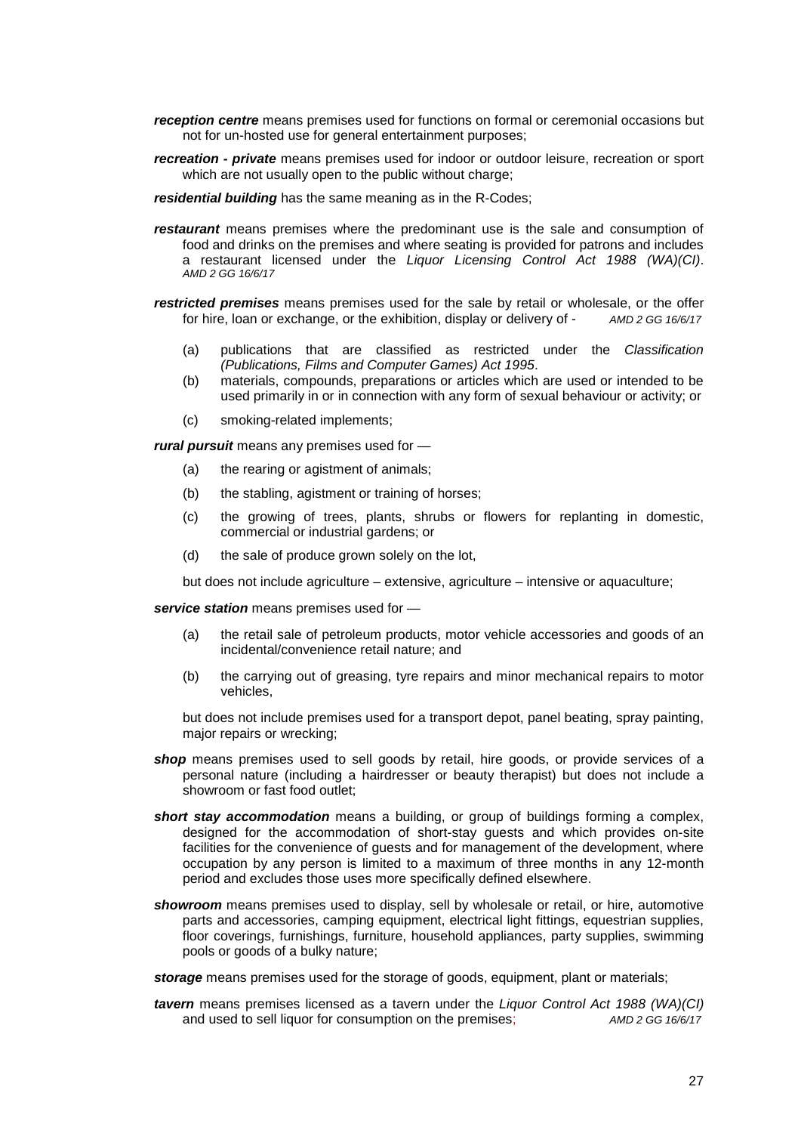- *reception centre* means premises used for functions on formal or ceremonial occasions but not for un-hosted use for general entertainment purposes;
- *recreation - private* means premises used for indoor or outdoor leisure, recreation or sport which are not usually open to the public without charge;

*residential building* has the same meaning as in the R-Codes;

- *restaurant* means premises where the predominant use is the sale and consumption of food and drinks on the premises and where seating is provided for patrons and includes a restaurant licensed under the *Liquor Licensing Control Act 1988 (WA)(CI)*. *AMD 2 GG 16/6/17*
- *restricted premises* means premises used for the sale by retail or wholesale, or the offer<br>for hire, loan or exchange, or the exhibition, display or delivery of AMD 2 GG 16/6/17 for hire, loan or exchange, or the exhibition, display or delivery of -
	- (a) publications that are classified as restricted under the *Classification (Publications, Films and Computer Games) Act 1995*.
	- (b) materials, compounds, preparations or articles which are used or intended to be used primarily in or in connection with any form of sexual behaviour or activity; or
	- (c) smoking-related implements;

*rural pursuit* means any premises used for —

- (a) the rearing or agistment of animals;
- (b) the stabling, agistment or training of horses;
- (c) the growing of trees, plants, shrubs or flowers for replanting in domestic, commercial or industrial gardens; or
- (d) the sale of produce grown solely on the lot,

but does not include agriculture – extensive, agriculture – intensive or aquaculture;

*service station* means premises used for —

- (a) the retail sale of petroleum products, motor vehicle accessories and goods of an incidental/convenience retail nature; and
- (b) the carrying out of greasing, tyre repairs and minor mechanical repairs to motor vehicles,

but does not include premises used for a transport depot, panel beating, spray painting, major repairs or wrecking;

- shop means premises used to sell goods by retail, hire goods, or provide services of a personal nature (including a hairdresser or beauty therapist) but does not include a showroom or fast food outlet;
- *short stay accommodation* means a building, or group of buildings forming a complex, designed for the accommodation of short-stay guests and which provides on-site facilities for the convenience of guests and for management of the development, where occupation by any person is limited to a maximum of three months in any 12-month period and excludes those uses more specifically defined elsewhere.
- *showroom* means premises used to display, sell by wholesale or retail, or hire, automotive parts and accessories, camping equipment, electrical light fittings, equestrian supplies, floor coverings, furnishings, furniture, household appliances, party supplies, swimming pools or goods of a bulky nature;

*storage* means premises used for the storage of goods, equipment, plant or materials;

*tavern* means premises licensed as a tavern under the *Liquor Control Act 1988 (WA)(CI)* and used to sell liquor for consumption on the premises; *AMD 2 GG 16/6/17*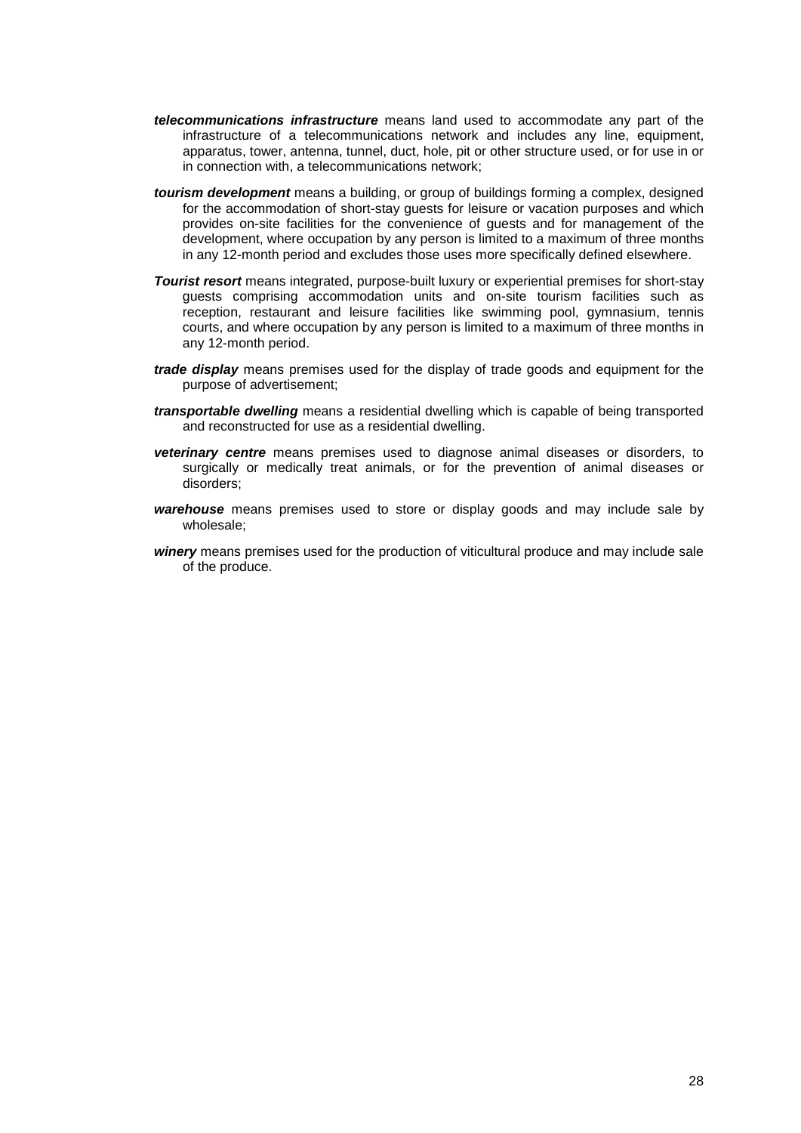- *telecommunications infrastructure* means land used to accommodate any part of the infrastructure of a telecommunications network and includes any line, equipment, apparatus, tower, antenna, tunnel, duct, hole, pit or other structure used, or for use in or in connection with, a telecommunications network;
- *tourism development* means a building, or group of buildings forming a complex, designed for the accommodation of short-stay guests for leisure or vacation purposes and which provides on-site facilities for the convenience of guests and for management of the development, where occupation by any person is limited to a maximum of three months in any 12-month period and excludes those uses more specifically defined elsewhere.
- *Tourist resort* means integrated, purpose-built luxury or experiential premises for short-stay guests comprising accommodation units and on-site tourism facilities such as reception, restaurant and leisure facilities like swimming pool, gymnasium, tennis courts, and where occupation by any person is limited to a maximum of three months in any 12-month period.
- *trade display* means premises used for the display of trade goods and equipment for the purpose of advertisement;
- *transportable dwelling* means a residential dwelling which is capable of being transported and reconstructed for use as a residential dwelling.
- *veterinary centre* means premises used to diagnose animal diseases or disorders, to surgically or medically treat animals, or for the prevention of animal diseases or disorders;
- *warehouse* means premises used to store or display goods and may include sale by wholesale;
- *winery* means premises used for the production of viticultural produce and may include sale of the produce.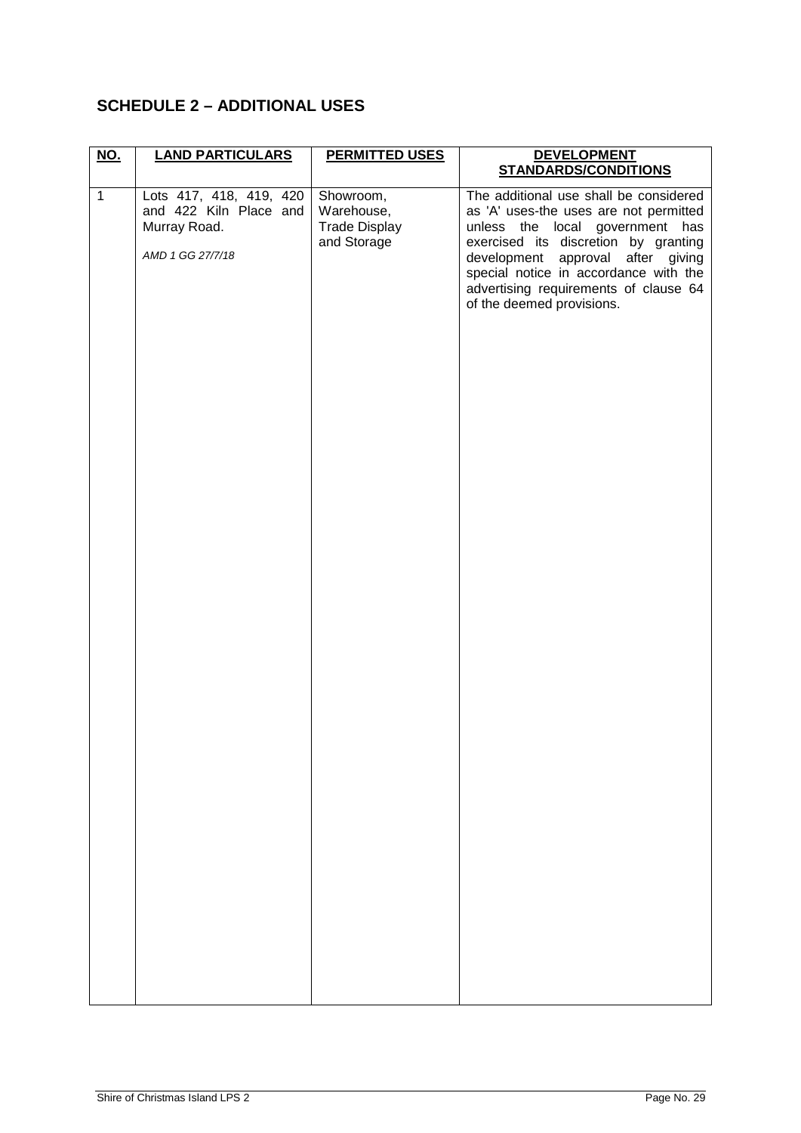## <span id="page-28-0"></span>**SCHEDULE 2 – ADDITIONAL USES**

| <u>NO.</u>   | <b>LAND PARTICULARS</b>                                                               | <b>PERMITTED USES</b>                                          | <b>DEVELOPMENT</b>                                                                                                                                                                                                                                                                                              |
|--------------|---------------------------------------------------------------------------------------|----------------------------------------------------------------|-----------------------------------------------------------------------------------------------------------------------------------------------------------------------------------------------------------------------------------------------------------------------------------------------------------------|
|              |                                                                                       |                                                                | <b>STANDARDS/CONDITIONS</b>                                                                                                                                                                                                                                                                                     |
| $\mathbf{1}$ | Lots 417, 418, 419, 420<br>and 422 Kiln Place and<br>Murray Road.<br>AMD 1 GG 27/7/18 | Showroom,<br>Warehouse,<br><b>Trade Display</b><br>and Storage | The additional use shall be considered<br>as 'A' uses-the uses are not permitted<br>unless the local government has<br>exercised its discretion by granting<br>development approval after giving<br>special notice in accordance with the<br>advertising requirements of clause 64<br>of the deemed provisions. |
|              |                                                                                       |                                                                |                                                                                                                                                                                                                                                                                                                 |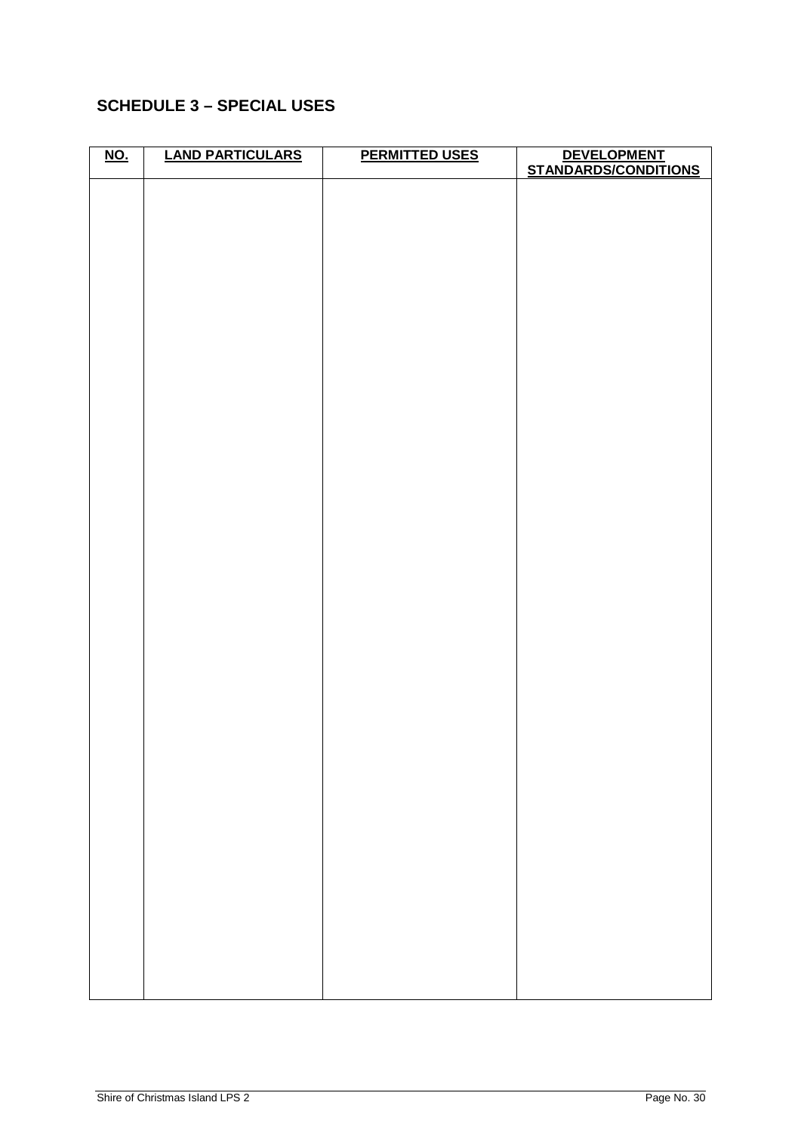## <span id="page-29-0"></span>**SCHEDULE 3 – SPECIAL USES**

| <u>NO.</u> | <b>LAND PARTICULARS</b> | <b>PERMITTED USES</b> | DEVELOPMENT<br>STANDARDS/CONDITIONS |
|------------|-------------------------|-----------------------|-------------------------------------|
|            |                         |                       |                                     |
|            |                         |                       |                                     |
|            |                         |                       |                                     |
|            |                         |                       |                                     |
|            |                         |                       |                                     |
|            |                         |                       |                                     |
|            |                         |                       |                                     |
|            |                         |                       |                                     |
|            |                         |                       |                                     |
|            |                         |                       |                                     |
|            |                         |                       |                                     |
|            |                         |                       |                                     |
|            |                         |                       |                                     |
|            |                         |                       |                                     |
|            |                         |                       |                                     |
|            |                         |                       |                                     |
|            |                         |                       |                                     |
|            |                         |                       |                                     |
|            |                         |                       |                                     |
|            |                         |                       |                                     |
|            |                         |                       |                                     |
|            |                         |                       |                                     |
|            |                         |                       |                                     |
|            |                         |                       |                                     |
|            |                         |                       |                                     |
|            |                         |                       |                                     |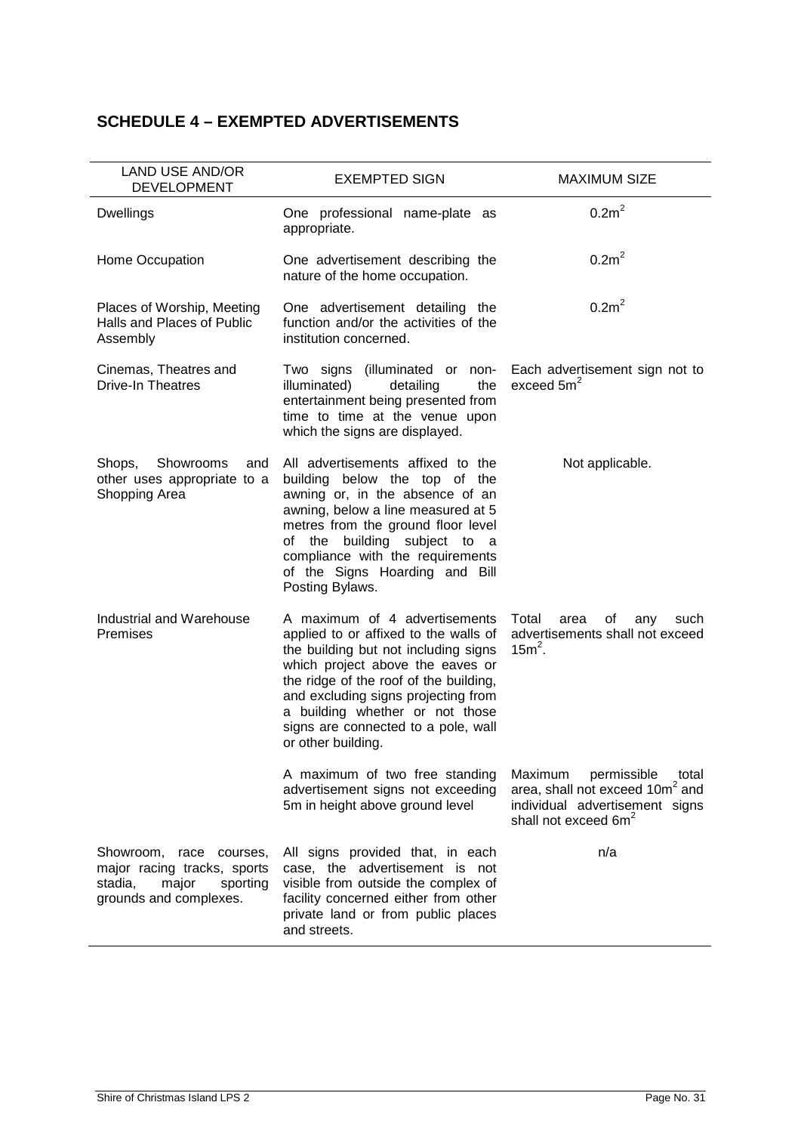## <span id="page-30-0"></span>**SCHEDULE 4 – EXEMPTED ADVERTISEMENTS**

| LAND USE AND/OR<br><b>DEVELOPMENT</b>                                                                               | <b>EXEMPTED SIGN</b>                                                                                                                                                                                                                                                                                                                | <b>MAXIMUM SIZE</b>                                                                                                                                  |
|---------------------------------------------------------------------------------------------------------------------|-------------------------------------------------------------------------------------------------------------------------------------------------------------------------------------------------------------------------------------------------------------------------------------------------------------------------------------|------------------------------------------------------------------------------------------------------------------------------------------------------|
| <b>Dwellings</b>                                                                                                    | One professional name-plate as<br>appropriate.                                                                                                                                                                                                                                                                                      | 0.2m <sup>2</sup>                                                                                                                                    |
| Home Occupation                                                                                                     | One advertisement describing the<br>nature of the home occupation.                                                                                                                                                                                                                                                                  | 0.2m <sup>2</sup>                                                                                                                                    |
| Places of Worship, Meeting<br>Halls and Places of Public<br>Assembly                                                | One advertisement detailing the<br>function and/or the activities of the<br>institution concerned.                                                                                                                                                                                                                                  | 0.2m <sup>2</sup>                                                                                                                                    |
| Cinemas, Theatres and<br><b>Drive-In Theatres</b>                                                                   | Two signs (illuminated or non-<br>illuminated)<br>detailing<br>the<br>entertainment being presented from<br>time to time at the venue upon<br>which the signs are displayed.                                                                                                                                                        | Each advertisement sign not to<br>exceed $5m2$                                                                                                       |
| Showrooms<br>Shops,<br>and<br>other uses appropriate to a<br>Shopping Area                                          | All advertisements affixed to the<br>building below the top of the<br>awning or, in the absence of an<br>awning, below a line measured at 5<br>metres from the ground floor level<br>of the building subject to a<br>compliance with the requirements<br>of the Signs Hoarding and Bill<br>Posting Bylaws.                          | Not applicable.                                                                                                                                      |
| Industrial and Warehouse<br>Premises                                                                                | A maximum of 4 advertisements<br>applied to or affixed to the walls of<br>the building but not including signs<br>which project above the eaves or<br>the ridge of the roof of the building,<br>and excluding signs projecting from<br>a building whether or not those<br>signs are connected to a pole, wall<br>or other building. | Total<br>οf<br>area<br>any<br>such<br>advertisements shall not exceed<br>$15m2$ .                                                                    |
|                                                                                                                     | A maximum of two free standing<br>advertisement signs not exceeding<br>5m in height above ground level                                                                                                                                                                                                                              | Maximum<br>permissible<br>total<br>area, shall not exceed 10m <sup>2</sup> and<br>individual advertisement signs<br>shall not exceed 6m <sup>2</sup> |
| Showroom,<br>race courses,<br>major racing tracks, sports<br>stadia,<br>major<br>sporting<br>grounds and complexes. | All signs provided that, in each<br>case, the advertisement is not<br>visible from outside the complex of<br>facility concerned either from other<br>private land or from public places<br>and streets.                                                                                                                             | n/a                                                                                                                                                  |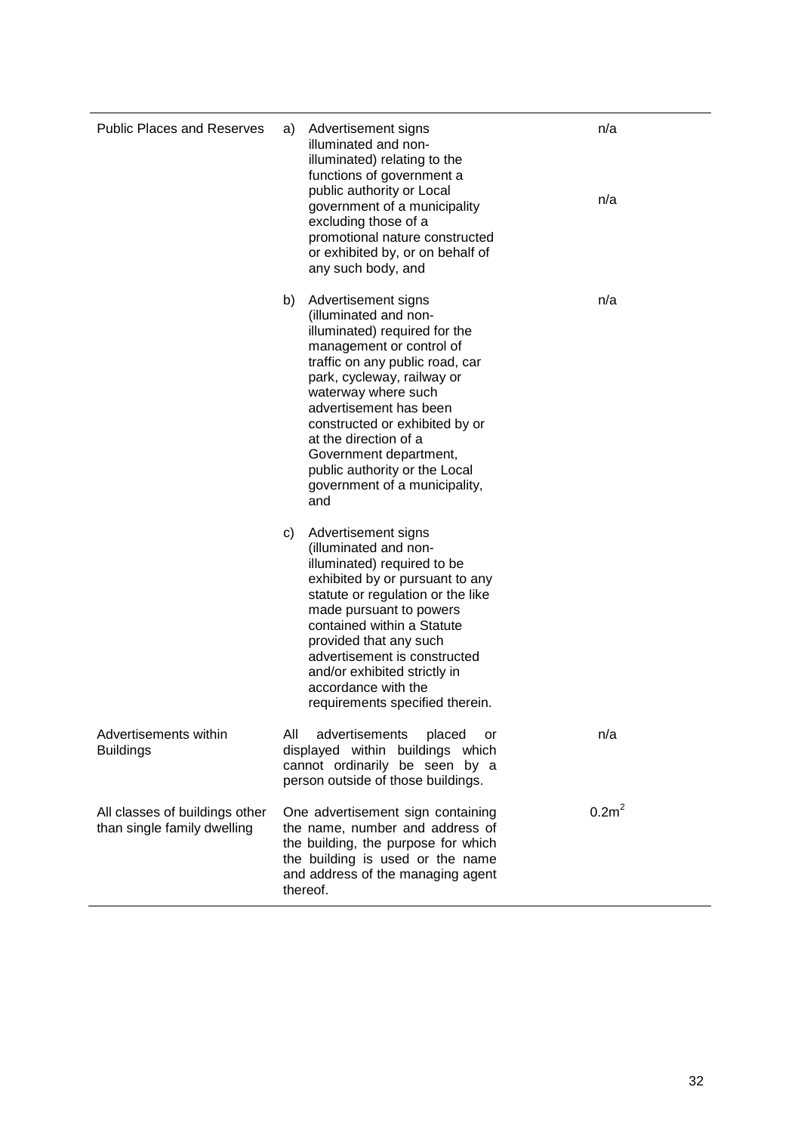| <b>Public Places and Reserves</b>                             | a)  | Advertisement signs<br>illuminated and non-<br>illuminated) relating to the<br>functions of government a<br>public authority or Local<br>government of a municipality<br>excluding those of a<br>promotional nature constructed<br>or exhibited by, or on behalf of<br>any such body, and                                                                                                 | n/a<br>n/a        |
|---------------------------------------------------------------|-----|-------------------------------------------------------------------------------------------------------------------------------------------------------------------------------------------------------------------------------------------------------------------------------------------------------------------------------------------------------------------------------------------|-------------------|
|                                                               | b)  | Advertisement signs<br>(illuminated and non-<br>illuminated) required for the<br>management or control of<br>traffic on any public road, car<br>park, cycleway, railway or<br>waterway where such<br>advertisement has been<br>constructed or exhibited by or<br>at the direction of a<br>Government department,<br>public authority or the Local<br>government of a municipality,<br>and | n/a               |
|                                                               | C)  | Advertisement signs<br>(illuminated and non-<br>illuminated) required to be<br>exhibited by or pursuant to any<br>statute or regulation or the like<br>made pursuant to powers<br>contained within a Statute<br>provided that any such<br>advertisement is constructed<br>and/or exhibited strictly in<br>accordance with the<br>requirements specified therein.                          |                   |
| Advertisements within<br><b>Buildings</b>                     | All | advertisements<br>placed<br>or<br>displayed within buildings which<br>cannot ordinarily be seen by a<br>person outside of those buildings.                                                                                                                                                                                                                                                | n/a               |
| All classes of buildings other<br>than single family dwelling |     | One advertisement sign containing<br>the name, number and address of<br>the building, the purpose for which<br>the building is used or the name<br>and address of the managing agent<br>thereof.                                                                                                                                                                                          | 0.2m <sup>2</sup> |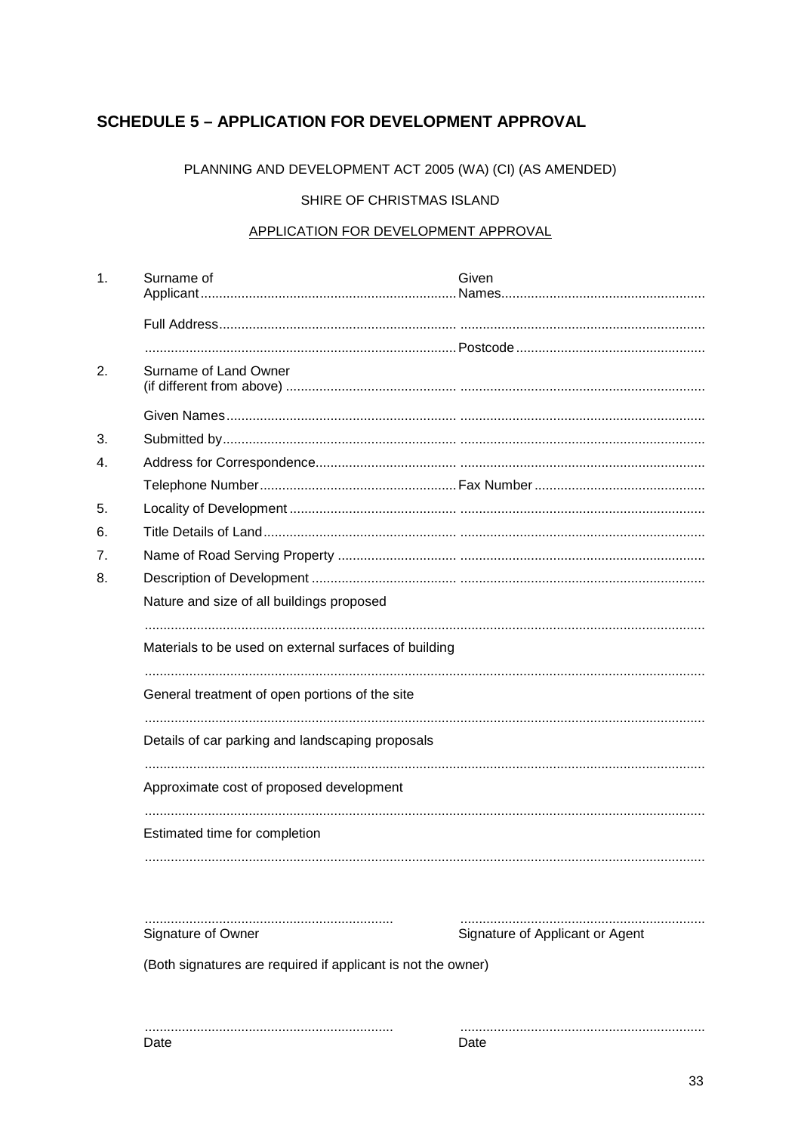### <span id="page-32-0"></span>**SCHEDULE 5 - APPLICATION FOR DEVELOPMENT APPROVAL**

PLANNING AND DEVELOPMENT ACT 2005 (WA) (CI) (AS AMENDED)

#### SHIRE OF CHRISTMAS ISLAND

#### APPLICATION FOR DEVELOPMENT APPROVAL

| 1. | Surname of                                                   | Given                           |  |  |  |
|----|--------------------------------------------------------------|---------------------------------|--|--|--|
|    |                                                              |                                 |  |  |  |
|    |                                                              |                                 |  |  |  |
| 2. | Surname of Land Owner                                        |                                 |  |  |  |
|    |                                                              |                                 |  |  |  |
| 3. |                                                              |                                 |  |  |  |
| 4. |                                                              |                                 |  |  |  |
|    |                                                              |                                 |  |  |  |
| 5. |                                                              |                                 |  |  |  |
| 6. |                                                              |                                 |  |  |  |
| 7. |                                                              |                                 |  |  |  |
| 8. |                                                              |                                 |  |  |  |
|    | Nature and size of all buildings proposed                    |                                 |  |  |  |
|    | Materials to be used on external surfaces of building        |                                 |  |  |  |
|    | General treatment of open portions of the site               |                                 |  |  |  |
|    | Details of car parking and landscaping proposals             |                                 |  |  |  |
|    | Approximate cost of proposed development                     |                                 |  |  |  |
|    | Estimated time for completion                                |                                 |  |  |  |
|    |                                                              |                                 |  |  |  |
|    | Signature of Owner                                           | Signature of Applicant or Agent |  |  |  |
|    | (Both signatures are required if applicant is not the owner) |                                 |  |  |  |

Date

Date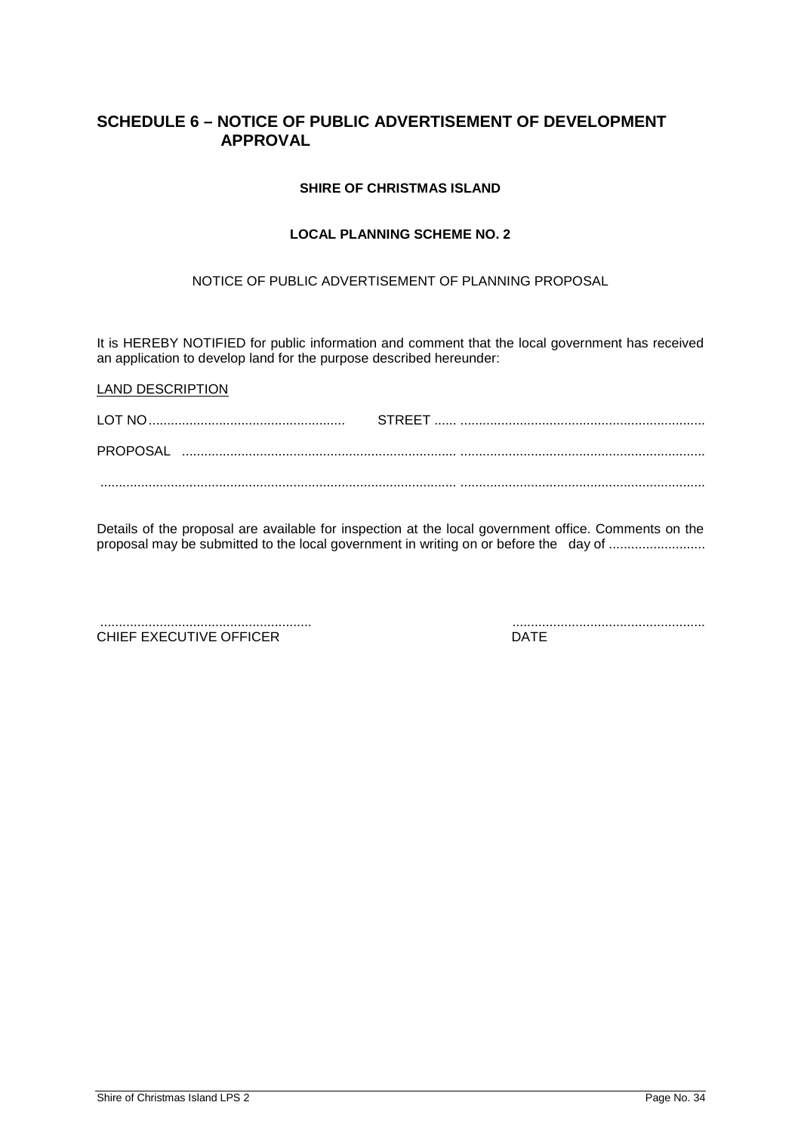#### <span id="page-33-0"></span>**SCHEDULE 6 – NOTICE OF PUBLIC ADVERTISEMENT OF DEVELOPMENT APPROVAL**

#### **SHIRE OF CHRISTMAS ISLAND**

#### **LOCAL PLANNING SCHEME NO. 2**

#### NOTICE OF PUBLIC ADVERTISEMENT OF PLANNING PROPOSAL

It is HEREBY NOTIFIED for public information and comment that the local government has received an application to develop land for the purpose described hereunder:

Details of the proposal are available for inspection at the local government office. Comments on the proposal may be submitted to the local government in writing on or before the day of .........................

......................................................... .................................................... CHIEF EXECUTIVE OFFICER

LAND DESCRIPTION